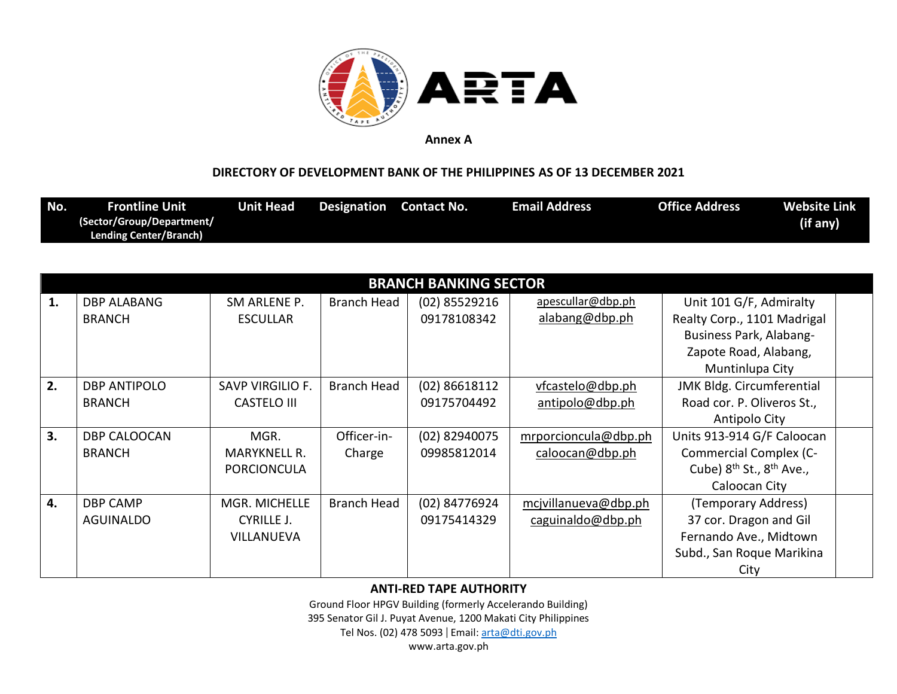

## **DIRECTORY OF DEVELOPMENT BANK OF THE PHILIPPINES AS OF 13 DECEMBER 2021**

| No. | <b>Frontline Unit</b>         | Unit Head | <b>Designation</b> Contact No. | Email Address | <b>Office Address</b> | <b>Website Link</b> |
|-----|-------------------------------|-----------|--------------------------------|---------------|-----------------------|---------------------|
|     | (Sector/Group/Department/     |           |                                |               |                       | (if any)            |
|     | <b>Lending Center/Branch)</b> |           |                                |               |                       |                     |

|    |                     |                         |                    | <b>BRANCH BANKING SECTOR</b> |                      |                                    |  |
|----|---------------------|-------------------------|--------------------|------------------------------|----------------------|------------------------------------|--|
| 1. | <b>DBP ALABANG</b>  | SM ARLENE P.            | <b>Branch Head</b> | (02) 85529216                | apescullar@dbp.ph    | Unit 101 G/F, Admiralty            |  |
|    | <b>BRANCH</b>       | <b>ESCULLAR</b>         |                    | 09178108342                  | alabang@dbp.ph       | Realty Corp., 1101 Madrigal        |  |
|    |                     |                         |                    |                              |                      | Business Park, Alabang-            |  |
|    |                     |                         |                    |                              |                      | Zapote Road, Alabang,              |  |
|    |                     |                         |                    |                              |                      | Muntinlupa City                    |  |
| 2. | <b>DBP ANTIPOLO</b> | <b>SAVP VIRGILIO F.</b> | <b>Branch Head</b> | (02) 86618112                | vfcastelo@dbp.ph     | JMK Bldg. Circumferential          |  |
|    | <b>BRANCH</b>       | <b>CASTELO III</b>      |                    | 09175704492                  | antipolo@dbp.ph      | Road cor. P. Oliveros St.,         |  |
|    |                     |                         |                    |                              |                      | Antipolo City                      |  |
| 3. | <b>DBP CALOOCAN</b> | MGR.                    | Officer-in-        | (02) 82940075                | mrporcioncula@dbp.ph | Units 913-914 G/F Caloocan         |  |
|    | <b>BRANCH</b>       | <b>MARYKNELL R.</b>     | Charge             | 09985812014                  | caloocan@dbp.ph      | <b>Commercial Complex (C-</b>      |  |
|    |                     | <b>PORCIONCULA</b>      |                    |                              |                      | Cube) $8^{th}$ St., $8^{th}$ Ave., |  |
|    |                     |                         |                    |                              |                      | Caloocan City                      |  |
| 4. | <b>DBP CAMP</b>     | MGR. MICHELLE           | <b>Branch Head</b> | (02) 84776924                | mcjvillanueva@dbp.ph | (Temporary Address)                |  |
|    | AGUINALDO           | CYRILLE J.              |                    | 09175414329                  | caguinaldo@dbp.ph    | 37 cor. Dragon and Gil             |  |
|    |                     | <b>VILLANUEVA</b>       |                    |                              |                      | Fernando Ave., Midtown             |  |
|    |                     |                         |                    |                              |                      | Subd., San Roque Marikina          |  |
|    |                     |                         |                    |                              |                      | City                               |  |

### **ANTI-RED TAPE AUTHORITY**

Ground Floor HPGV Building (formerly Accelerando Building) 395 Senator Gil J. Puyat Avenue, 1200 Makati City Philippines Tel Nos. (02) 478 5093 | Email: [arta@dti.gov.ph](mailto:arta@dti.gov.ph)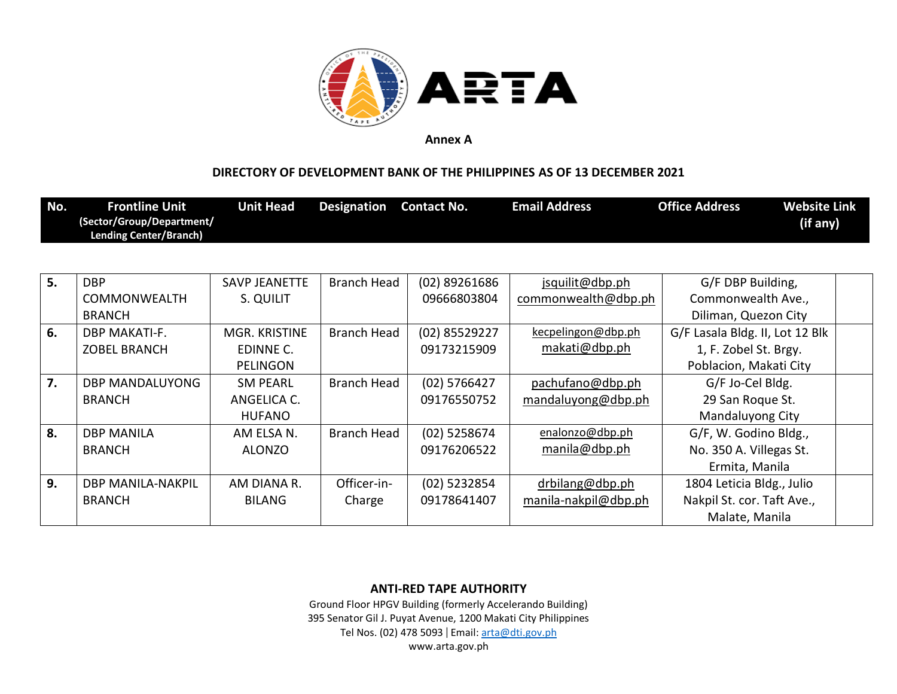

## **DIRECTORY OF DEVELOPMENT BANK OF THE PHILIPPINES AS OF 13 DECEMBER 2021**

| No. | <b>Frontline Unit</b><br>(Sector/Group/Department/<br><b>Lending Center/Branch)</b> | <b>Unit Head</b>     | <b>Designation</b> | <b>Contact No.</b> | <b>Email Address</b> | <b>Website Link</b><br><b>Office Address</b><br>(if any) |  |
|-----|-------------------------------------------------------------------------------------|----------------------|--------------------|--------------------|----------------------|----------------------------------------------------------|--|
|     |                                                                                     |                      |                    |                    |                      |                                                          |  |
| 5.  | <b>DBP</b>                                                                          | <b>SAVP JEANETTE</b> | <b>Branch Head</b> | $(02)$ 89261686    | jsquilit@dbp.ph      | G/F DBP Building,                                        |  |
|     | <b>COMMONWEALTH</b>                                                                 | S. QUILIT            |                    | 09666803804        | commonwealth@dbp.ph  | Commonwealth Ave.,                                       |  |
|     | <b>BRANCH</b>                                                                       |                      |                    |                    |                      | Diliman, Quezon City                                     |  |
| 6.  | DBP MAKATI-F.                                                                       | MGR. KRISTINE        | <b>Branch Head</b> | (02) 85529227      | kecpelingon@dbp.ph   | G/F Lasala Bldg. II, Lot 12 Blk                          |  |
|     | <b>ZOBEL BRANCH</b>                                                                 | EDINNE C.            |                    | 09173215909        | makati@dbp.ph        | 1, F. Zobel St. Brgy.                                    |  |
|     |                                                                                     | <b>PELINGON</b>      |                    |                    |                      | Poblacion, Makati City                                   |  |

|    | ZOBEL BRANCH             | EDINNE C.       |                    | 09173215909    | makati@upp.pn        | 1, F. ZODEI ST. Brgy.      |  |
|----|--------------------------|-----------------|--------------------|----------------|----------------------|----------------------------|--|
|    |                          | <b>PELINGON</b> |                    |                |                      | Poblacion, Makati City     |  |
| 7. | DBP MANDALUYONG          | <b>SM PEARL</b> | <b>Branch Head</b> | $(02)$ 5766427 | pachufano@dbp.ph     | G/F Jo-Cel Bldg.           |  |
|    | <b>BRANCH</b>            | ANGELICA C.     |                    | 09176550752    | mandaluyong@dbp.ph   | 29 San Roque St.           |  |
|    |                          | <b>HUFANO</b>   |                    |                |                      | Mandaluyong City           |  |
| 8. | <b>DBP MANILA</b>        | AM ELSA N.      | Branch Head        | $(02)$ 5258674 | enalonzo@dbp.ph      | G/F, W. Godino Bldg.,      |  |
|    | <b>BRANCH</b>            | <b>ALONZO</b>   |                    | 09176206522    | manila@dbp.ph        | No. 350 A. Villegas St.    |  |
|    |                          |                 |                    |                |                      | Ermita, Manila             |  |
| 9. | <b>DBP MANILA-NAKPIL</b> | AM DIANA R.     | Officer-in-        | (02) 5232854   | drbilang@dbp.ph      | 1804 Leticia Bldg., Julio  |  |
|    | <b>BRANCH</b>            | <b>BILANG</b>   | Charge             | 09178641407    | manila-nakpil@dbp.ph | Nakpil St. cor. Taft Ave., |  |
|    |                          |                 |                    |                |                      | Malate, Manila             |  |

### **ANTI-RED TAPE AUTHORITY**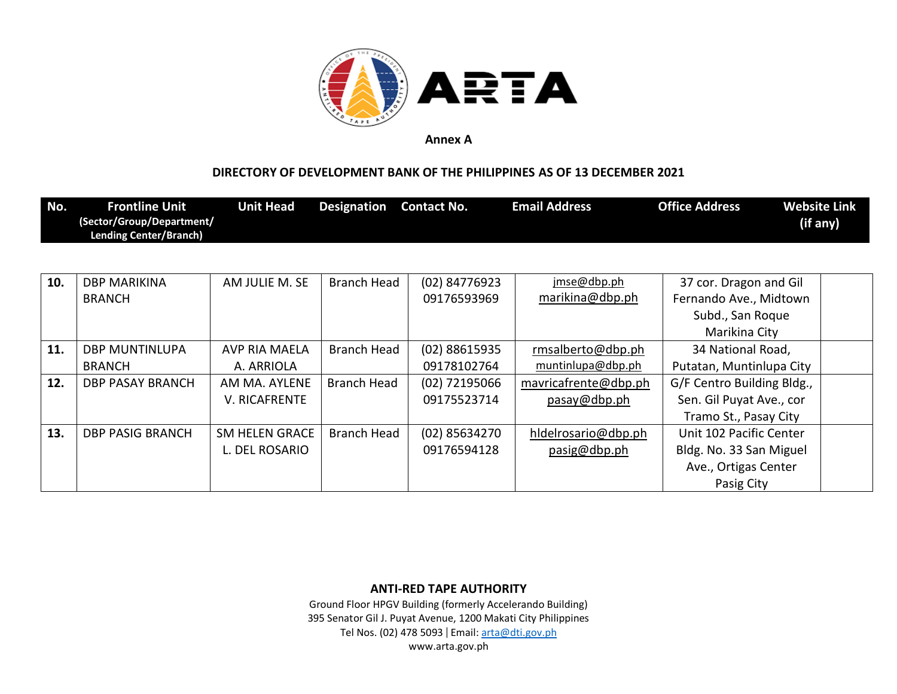

### **DIRECTORY OF DEVELOPMENT BANK OF THE PHILIPPINES AS OF 13 DECEMBER 2021**

| No. | <b>Frontline Unit</b><br>(Sector/Group/Department/ | <b>Unit Head</b>      | <b>Designation</b> | <b>Contact No.</b> | <b>Email Address</b> | <b>Office Address</b>      | <b>Website Link</b><br>(if any) |
|-----|----------------------------------------------------|-----------------------|--------------------|--------------------|----------------------|----------------------------|---------------------------------|
|     | <b>Lending Center/Branch)</b>                      |                       |                    |                    |                      |                            |                                 |
| 10. | <b>DBP MARIKINA</b>                                | AM JULIE M. SE        | Branch Head        | (02) 84776923      | jmse@dbp.ph          | 37 cor. Dragon and Gil     |                                 |
|     | <b>BRANCH</b>                                      |                       |                    | 09176593969        | marikina@dbp.ph      | Fernando Ave., Midtown     |                                 |
|     |                                                    |                       |                    |                    |                      | Subd., San Roque           |                                 |
|     |                                                    |                       |                    |                    |                      | Marikina City              |                                 |
| 11. | <b>DBP MUNTINLUPA</b>                              | AVP RIA MAELA         | Branch Head        | (02) 88615935      | rmsalberto@dbp.ph    | 34 National Road,          |                                 |
|     | <b>BRANCH</b>                                      | A. ARRIOLA            |                    | 09178102764        | muntinlupa@dbp.ph    | Putatan, Muntinlupa City   |                                 |
| 12. | <b>DBP PASAY BRANCH</b>                            | AM MA. AYLENE         | Branch Head        | (02) 72195066      | mavricafrente@dbp.ph | G/F Centro Building Bldg., |                                 |
|     |                                                    | <b>V. RICAFRENTE</b>  |                    | 09175523714        | pasay@dbp.ph         | Sen. Gil Puyat Ave., cor   |                                 |
|     |                                                    |                       |                    |                    |                      | Tramo St., Pasay City      |                                 |
| 13. | <b>DBP PASIG BRANCH</b>                            | <b>SM HELEN GRACE</b> | <b>Branch Head</b> | $(02)$ 85634270    | hldelrosario@dbp.ph  | Unit 102 Pacific Center    |                                 |
|     |                                                    | L. DEL ROSARIO        |                    | 09176594128        | pasig@dbp.ph         | Bldg. No. 33 San Miguel    |                                 |
|     |                                                    |                       |                    |                    |                      | Ave., Ortigas Center       |                                 |
|     |                                                    |                       |                    |                    |                      | Pasig City                 |                                 |

**ANTI-RED TAPE AUTHORITY**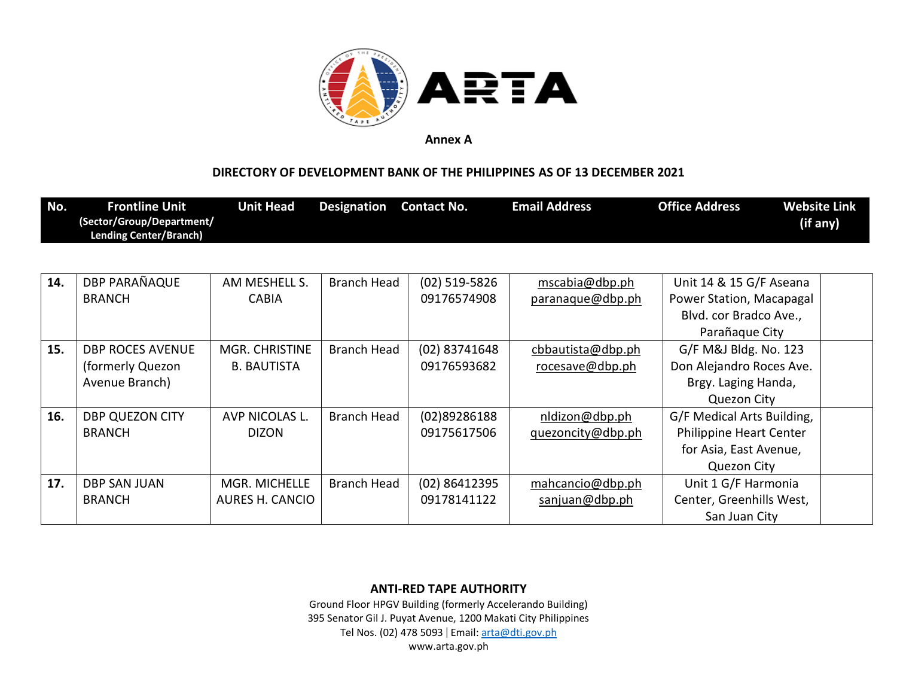

## **DIRECTORY OF DEVELOPMENT BANK OF THE PHILIPPINES AS OF 13 DECEMBER 2021**

| No. | <b>Frontline Unit</b><br>(Sector/Group/Department/<br><b>Lending Center/Branch)</b> | <b>Unit Head</b>       | Designation | <b>Contact No.</b> | <b>Email Address</b> | <b>Office Address</b>      | <b>Website Link</b><br>(if any) |
|-----|-------------------------------------------------------------------------------------|------------------------|-------------|--------------------|----------------------|----------------------------|---------------------------------|
|     |                                                                                     |                        |             |                    |                      |                            |                                 |
| 14. | DBP PARAÑAQUE                                                                       | AM MESHELL S.          | Branch Head | $(02)$ 519-5826    | mscabia@dbp.ph       | Unit 14 & 15 G/F Aseana    |                                 |
|     | <b>BRANCH</b>                                                                       | <b>CABIA</b>           |             | 09176574908        | paranaque@dbp.ph     | Power Station, Macapagal   |                                 |
|     |                                                                                     |                        |             |                    |                      | Blvd. cor Bradco Ave.,     |                                 |
|     |                                                                                     |                        |             |                    |                      | Parañaque City             |                                 |
| 15. | <b>DBP ROCES AVENUE</b>                                                             | MGR. CHRISTINE         | Branch Head | (02) 83741648      | cbbautista@dbp.ph    | G/F M&J Bldg. No. 123      |                                 |
|     | (formerly Quezon)                                                                   | <b>B. BAUTISTA</b>     |             | 09176593682        | rocesave@dbp.ph      | Don Alejandro Roces Ave.   |                                 |
|     | Avenue Branch)                                                                      |                        |             |                    |                      | Brgy. Laging Handa,        |                                 |
|     |                                                                                     |                        |             |                    |                      | <b>Quezon City</b>         |                                 |
| 16. | DBP QUEZON CITY                                                                     | AVP NICOLAS L.         | Branch Head | (02)89286188       | nldizon@dbp.ph       | G/F Medical Arts Building, |                                 |
|     | <b>BRANCH</b>                                                                       | <b>DIZON</b>           |             | 09175617506        | quezoncity@dbp.ph    | Philippine Heart Center    |                                 |
|     |                                                                                     |                        |             |                    |                      | for Asia, East Avenue,     |                                 |
|     |                                                                                     |                        |             |                    |                      | Quezon City                |                                 |
| 17. | DBP SAN JUAN                                                                        | MGR. MICHELLE          | Branch Head | (02) 86412395      | mahcancio@dbp.ph     | Unit 1 G/F Harmonia        |                                 |
|     | <b>BRANCH</b>                                                                       | <b>AURES H. CANCIO</b> |             | 09178141122        | sanjuan@dbp.ph       | Center, Greenhills West,   |                                 |
|     |                                                                                     |                        |             |                    |                      | San Juan City              |                                 |

**ANTI-RED TAPE AUTHORITY**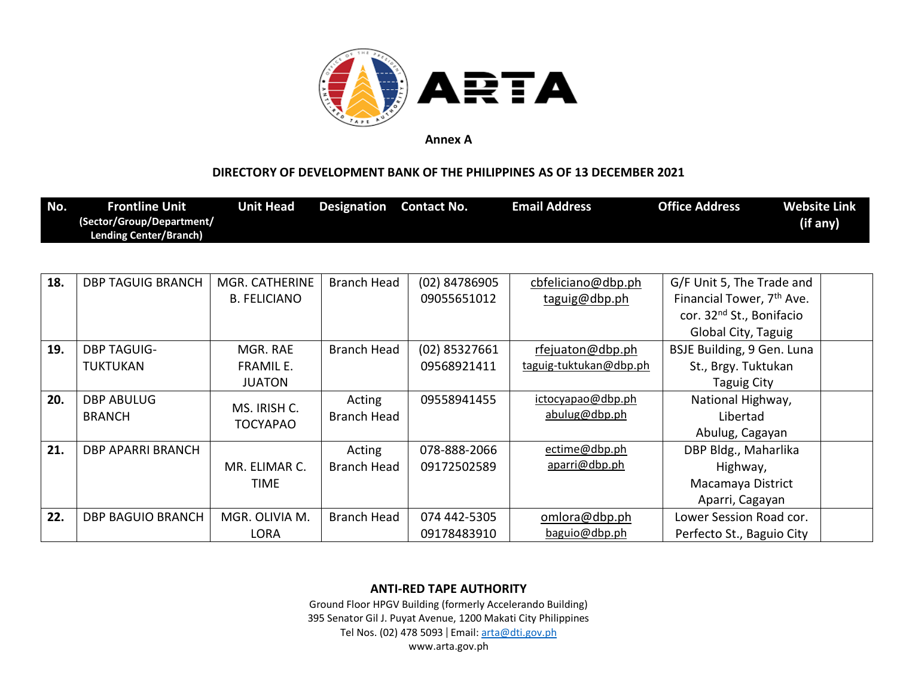

## **DIRECTORY OF DEVELOPMENT BANK OF THE PHILIPPINES AS OF 13 DECEMBER 2021**

| Lending Center/Branch) |
|------------------------|
|------------------------|

| 18. | <b>DBP TAGUIG BRANCH</b> | MGR. CATHERINE      | <b>Branch Head</b> | (02) 84786905   | cbfeliciano@dbp.ph     | G/F Unit 5, The Trade and             |  |
|-----|--------------------------|---------------------|--------------------|-----------------|------------------------|---------------------------------------|--|
|     |                          | <b>B. FELICIANO</b> |                    | 09055651012     | taguig@dbp.ph          | Financial Tower, 7 <sup>th</sup> Ave. |  |
|     |                          |                     |                    |                 |                        | cor. 32 <sup>nd</sup> St., Bonifacio  |  |
|     |                          |                     |                    |                 |                        | Global City, Taguig                   |  |
| 19. | <b>DBP TAGUIG-</b>       | MGR. RAE            | <b>Branch Head</b> | $(02)$ 85327661 | rfejuaton@dbp.ph       | BSJE Building, 9 Gen. Luna            |  |
|     | <b>TUKTUKAN</b>          | <b>FRAMIL E.</b>    |                    | 09568921411     | taguig-tuktukan@dbp.ph | St., Brgy. Tuktukan                   |  |
|     |                          | <b>JUATON</b>       |                    |                 |                        | Taguig City                           |  |
| 20. | <b>DBP ABULUG</b>        | MS. IRISH C.        | Acting             | 09558941455     | ictocyapao@dbp.ph      | National Highway,                     |  |
|     | <b>BRANCH</b>            | <b>TOCYAPAO</b>     | <b>Branch Head</b> |                 | abulug@dbp.ph          | Libertad                              |  |
|     |                          |                     |                    |                 |                        | Abulug, Cagayan                       |  |
| 21. | DBP APARRI BRANCH        |                     | Acting             | 078-888-2066    | ectime@dbp.ph          | DBP Bldg., Maharlika                  |  |
|     |                          | MR. ELIMAR C.       | Branch Head        | 09172502589     | aparri@dbp.ph          | Highway,                              |  |
|     |                          | TIME                |                    |                 |                        | Macamaya District                     |  |
|     |                          |                     |                    |                 |                        | Aparri, Cagayan                       |  |
| 22. | <b>DBP BAGUIO BRANCH</b> | MGR. OLIVIA M.      | <b>Branch Head</b> | 074 442-5305    | omlora@dbp.ph          | Lower Session Road cor.               |  |
|     |                          | <b>LORA</b>         |                    | 09178483910     | baguio@dbp.ph          | Perfecto St., Baguio City             |  |

**ANTI-RED TAPE AUTHORITY**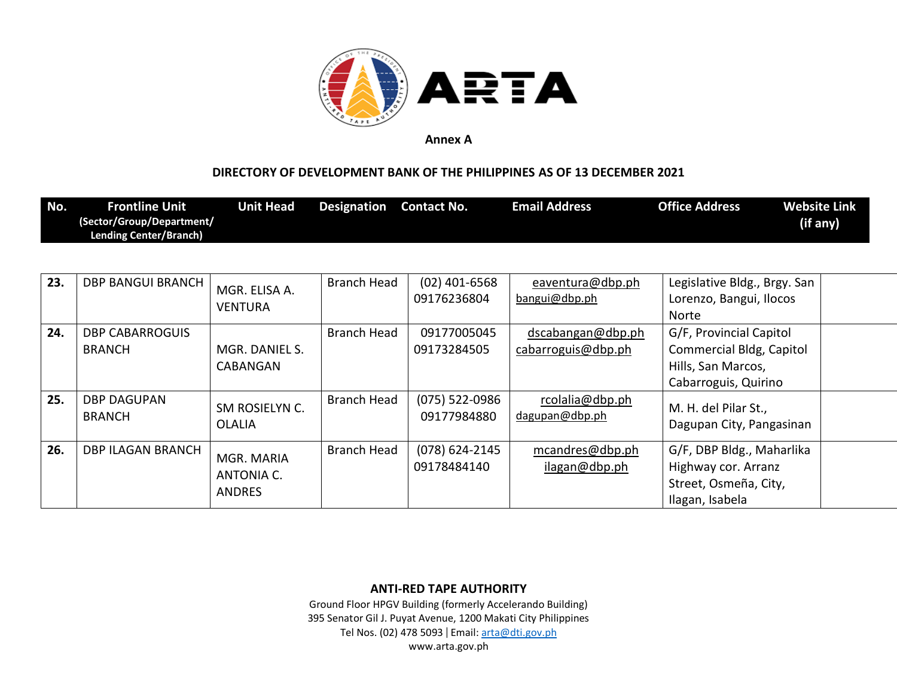

### **DIRECTORY OF DEVELOPMENT BANK OF THE PHILIPPINES AS OF 13 DECEMBER 2021**

| No. | <b>Frontline Unit</b>     | Jnit Head | <b>Designation</b> | Contact No. | <b>Email Address</b> | <b>Office Address</b> | Website Link |
|-----|---------------------------|-----------|--------------------|-------------|----------------------|-----------------------|--------------|
|     | (Sector/Group/Department/ |           |                    |             |                      |                       | (if any)     |
|     | Lending Center/Branch)    |           |                    |             |                      |                       |              |

| 23. | <b>DBP BANGUI BRANCH</b>                | MGR. ELISA A.<br><b>VENTURA</b>                  | <b>Branch Head</b> | $(02)$ 401-6568<br>09176236804  | eaventura@dbp.ph<br>bangui@dbp.ph       | Legislative Bldg., Brgy. San<br>Lorenzo, Bangui, Ilocos<br>Norte                                  |  |
|-----|-----------------------------------------|--------------------------------------------------|--------------------|---------------------------------|-----------------------------------------|---------------------------------------------------------------------------------------------------|--|
| 24. | <b>DBP CABARROGUIS</b><br><b>BRANCH</b> | MGR. DANIEL S.<br>CABANGAN                       | Branch Head        | 09177005045<br>09173284505      | dscabangan@dbp.ph<br>cabarroguis@dbp.ph | G/F, Provincial Capitol<br>Commercial Bldg, Capitol<br>Hills, San Marcos,<br>Cabarroguis, Quirino |  |
| 25. | <b>DBP DAGUPAN</b><br><b>BRANCH</b>     | SM ROSIELYN C.<br><b>OLALIA</b>                  | <b>Branch Head</b> | $(075)$ 522-0986<br>09177984880 | rcolalia@dbp.ph<br>dagupan@dbp.ph       | M. H. del Pilar St.,<br>Dagupan City, Pangasinan                                                  |  |
| 26. | DBP ILAGAN BRANCH                       | MGR. MARIA<br><b>ANTONIA C.</b><br><b>ANDRES</b> | <b>Branch Head</b> | $(078)$ 624-2145<br>09178484140 | mcandres@dbp.ph<br>ilagan@dbp.ph        | G/F, DBP Bldg., Maharlika<br>Highway cor. Arranz<br>Street, Osmeña, City,<br>Ilagan, Isabela      |  |

**ANTI-RED TAPE AUTHORITY**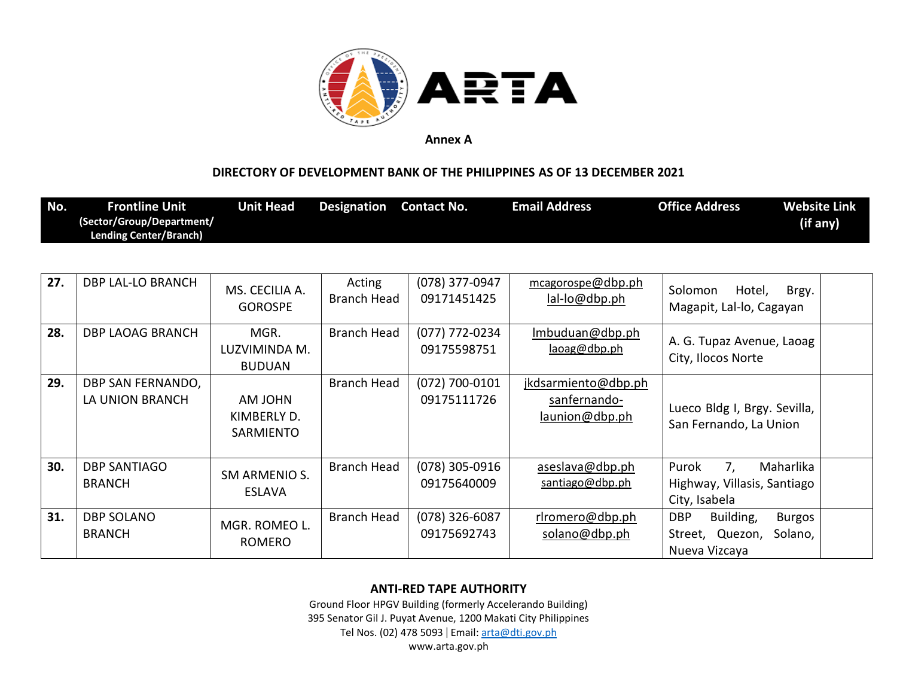

## **DIRECTORY OF DEVELOPMENT BANK OF THE PHILIPPINES AS OF 13 DECEMBER 2021**

| No. | <b>Frontline Unit</b><br>(Sector/Group/Department/<br><b>Lending Center/Branch)</b> | <b>Unit Head</b>                       | <b>Designation</b>           | <b>Contact No.</b>              | <b>Email Address</b>                                  | <b>Office Address</b>                                                    | <b>Website Link</b><br>(if any) |
|-----|-------------------------------------------------------------------------------------|----------------------------------------|------------------------------|---------------------------------|-------------------------------------------------------|--------------------------------------------------------------------------|---------------------------------|
| 27. | <b>DBP LAL-LO BRANCH</b>                                                            | MS. CECILIA A.<br><b>GOROSPE</b>       | Acting<br><b>Branch Head</b> | (078) 377-0947<br>09171451425   | mcagorospe@dbp.ph<br>lal-lo@dbp.ph                    | Solomon<br>Hotel,<br>Magapit, Lal-lo, Cagayan                            | Brgy.                           |
| 28. | <b>DBP LAOAG BRANCH</b>                                                             | MGR.<br>LUZVIMINDA M.<br><b>BUDUAN</b> | <b>Branch Head</b>           | (077) 772-0234<br>09175598751   | Imbuduan@dbp.ph<br>laoag@dbp.ph                       | A. G. Tupaz Avenue, Laoag<br>City, Ilocos Norte                          |                                 |
| 29. | DBP SAN FERNANDO,<br>LA UNION BRANCH                                                | AM JOHN<br>KIMBERLY D.<br>SARMIENTO    | <b>Branch Head</b>           | $(072)$ 700-0101<br>09175111726 | jkdsarmiento@dbp.ph<br>sanfernando-<br>launion@dbp.ph | Lueco Bldg I, Brgy. Sevilla,<br>San Fernando, La Union                   |                                 |
| 30. | <b>DBP SANTIAGO</b><br><b>BRANCH</b>                                                | SM ARMENIO S.<br><b>ESLAVA</b>         | <b>Branch Head</b>           | (078) 305-0916<br>09175640009   | aseslava@dbp.ph<br>santiago@dbp.ph                    | 7,<br>Maharlika<br>Purok<br>Highway, Villasis, Santiago<br>City, Isabela |                                 |
| 31. | <b>DBP SOLANO</b><br><b>BRANCH</b>                                                  | MGR. ROMEO L.<br><b>ROMERO</b>         | <b>Branch Head</b>           | $(078)$ 326-6087<br>09175692743 | rlromero@dbp.ph<br>solano@dbp.ph                      | <b>DBP</b><br>Building,<br>Street, Quezon,<br>Nueva Vizcaya              | <b>Burgos</b><br>Solano,        |

### **ANTI-RED TAPE AUTHORITY**

Ground Floor HPGV Building (formerly Accelerando Building) 395 Senator Gil J. Puyat Avenue, 1200 Makati City Philippines Tel Nos. (02) 478 5093 | Email: [arta@dti.gov.ph](mailto:arta@dti.gov.ph)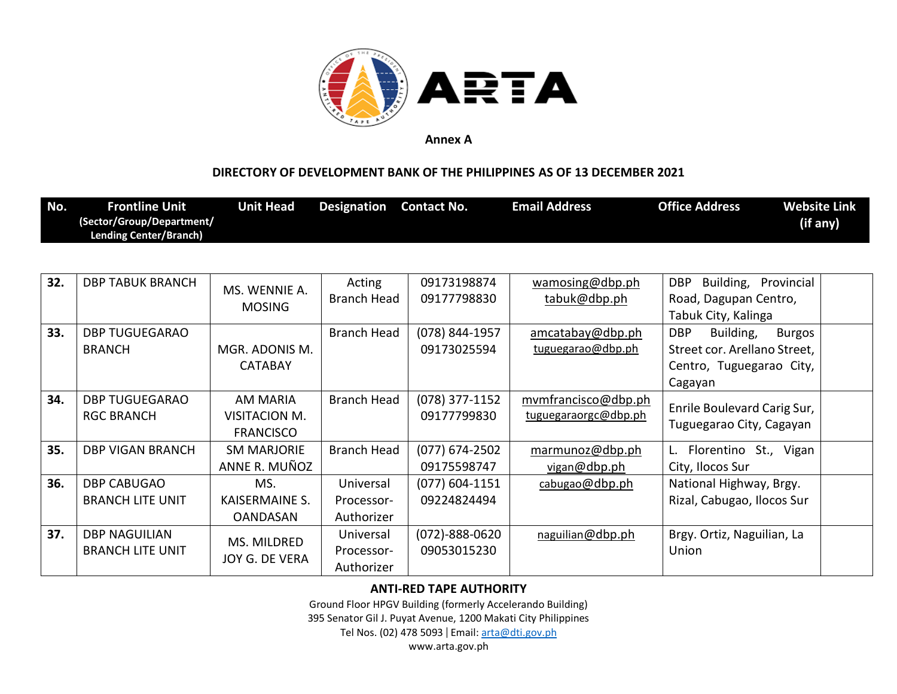

### **DIRECTORY OF DEVELOPMENT BANK OF THE PHILIPPINES AS OF 13 DECEMBER 2021**

| No. | <b>Frontline Unit</b><br>(Sector/Group/Department/ | <b>Unit Head</b>                                     | <b>Designation</b>                    | <b>Contact No.</b>                  | <b>Email Address</b>                        | <b>Office Address</b>                                                                                           | <b>Website Link</b><br>(if any) |
|-----|----------------------------------------------------|------------------------------------------------------|---------------------------------------|-------------------------------------|---------------------------------------------|-----------------------------------------------------------------------------------------------------------------|---------------------------------|
|     | <b>Lending Center/Branch)</b>                      |                                                      |                                       |                                     |                                             |                                                                                                                 |                                 |
| 32. | <b>DBP TABUK BRANCH</b>                            | MS. WENNIE A.<br><b>MOSING</b>                       | Acting<br><b>Branch Head</b>          | 09173198874<br>09177798830          | wamosing@dbp.ph<br>tabuk@dbp.ph             | <b>DBP</b><br>Building, Provincial<br>Road, Dagupan Centro,<br>Tabuk City, Kalinga                              |                                 |
| 33. | <b>DBP TUGUEGARAO</b><br><b>BRANCH</b>             | MGR. ADONIS M.<br><b>CATABAY</b>                     | <b>Branch Head</b>                    | (078) 844-1957<br>09173025594       | amcatabay@dbp.ph<br>tuguegarao@dbp.ph       | <b>DBP</b><br>Building,<br><b>Burgos</b><br>Street cor. Arellano Street,<br>Centro, Tuguegarao City,<br>Cagayan |                                 |
| 34. | <b>DBP TUGUEGARAO</b><br><b>RGC BRANCH</b>         | <b>AM MARIA</b><br>VISITACION M.<br><b>FRANCISCO</b> | <b>Branch Head</b>                    | $(078)$ 377-1152<br>09177799830     | mvmfrancisco@dbp.ph<br>tuguegaraorgc@dbp.ph | Enrile Boulevard Carig Sur,<br>Tuguegarao City, Cagayan                                                         |                                 |
| 35. | <b>DBP VIGAN BRANCH</b>                            | <b>SM MARJORIE</b><br>ANNE R. MUÑOZ                  | <b>Branch Head</b>                    | $(077)$ 674-2502<br>09175598747     | marmunoz@dbp.ph<br>vigan@dbp.ph             | Florentino St., Vigan<br>L.<br>City, Ilocos Sur                                                                 |                                 |
| 36. | <b>DBP CABUGAO</b><br><b>BRANCH LITE UNIT</b>      | MS.<br><b>KAISERMAINE S.</b><br><b>OANDASAN</b>      | Universal<br>Processor-<br>Authorizer | $(077)$ 604-1151<br>09224824494     | cabugao@dbp.ph                              | National Highway, Brgy.<br>Rizal, Cabugao, Ilocos Sur                                                           |                                 |
| 37. | <b>DBP NAGUILIAN</b><br><b>BRANCH LITE UNIT</b>    | MS. MILDRED<br>JOY G. DE VERA                        | Universal<br>Processor-<br>Authorizer | $(072) - 888 - 0620$<br>09053015230 | naguilian@dbp.ph                            | Brgy. Ortiz, Naguilian, La<br>Union                                                                             |                                 |

### **ANTI-RED TAPE AUTHORITY**

Ground Floor HPGV Building (formerly Accelerando Building)

395 Senator Gil J. Puyat Avenue, 1200 Makati City Philippines

Tel Nos. (02) 478 5093 | Email: [arta@dti.gov.ph](mailto:arta@dti.gov.ph)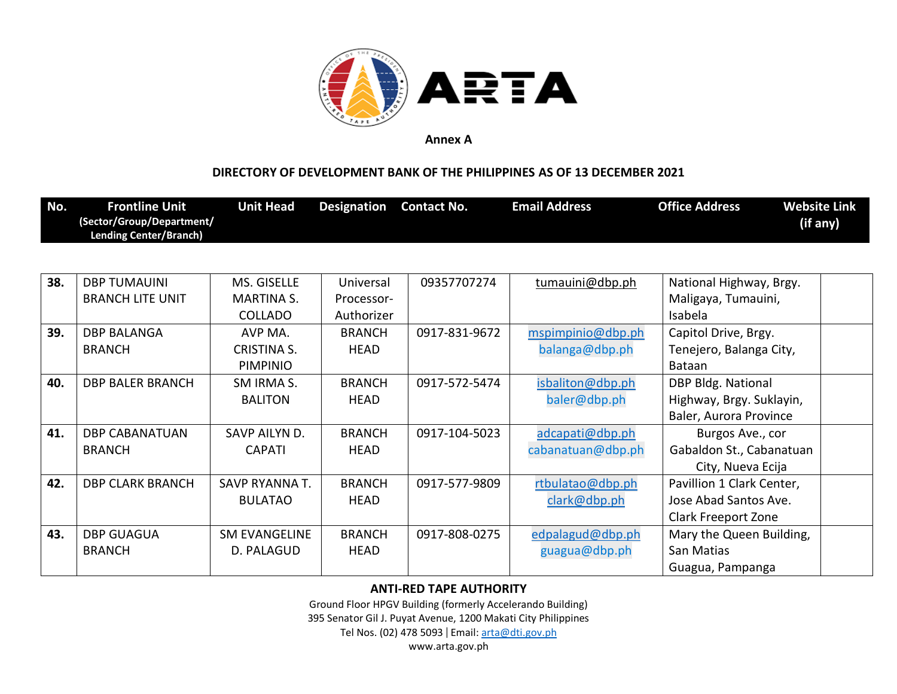

## **DIRECTORY OF DEVELOPMENT BANK OF THE PHILIPPINES AS OF 13 DECEMBER 2021**

| No. | <b>Frontline Unit</b><br>(Sector/Group/Department/<br><b>Lending Center/Branch)</b> | <b>Unit Head</b>     | <b>Designation</b> | <b>Contact No.</b> | <b>Email Address</b> | <b>Office Address</b>     | <b>Website Link</b><br>(if any) |
|-----|-------------------------------------------------------------------------------------|----------------------|--------------------|--------------------|----------------------|---------------------------|---------------------------------|
|     |                                                                                     |                      |                    |                    |                      |                           |                                 |
| 38. | <b>DBP TUMAUINI</b>                                                                 | MS. GISELLE          | Universal          | 09357707274        | tumauini@dbp.ph      | National Highway, Brgy.   |                                 |
|     | <b>BRANCH LITE UNIT</b>                                                             | <b>MARTINA S.</b>    | Processor-         |                    |                      | Maligaya, Tumauini,       |                                 |
|     |                                                                                     | <b>COLLADO</b>       | Authorizer         |                    |                      | Isabela                   |                                 |
| 39. | <b>DBP BALANGA</b>                                                                  | AVP MA.              | <b>BRANCH</b>      | 0917-831-9672      | mspimpinio@dbp.ph    | Capitol Drive, Brgy.      |                                 |
|     | <b>BRANCH</b>                                                                       | <b>CRISTINA S.</b>   | HEAD               |                    | balanga@dbp.ph       | Tenejero, Balanga City,   |                                 |
|     |                                                                                     | <b>PIMPINIO</b>      |                    |                    |                      | <b>Bataan</b>             |                                 |
| 40. | <b>DBP BALER BRANCH</b>                                                             | SM IRMA S.           | <b>BRANCH</b>      | 0917-572-5474      | isbaliton@dbp.ph     | DBP Bldg. National        |                                 |
|     |                                                                                     | <b>BALITON</b>       | <b>HEAD</b>        |                    | baler@dbp.ph         | Highway, Brgy. Suklayin,  |                                 |
|     |                                                                                     |                      |                    |                    |                      | Baler, Aurora Province    |                                 |
| 41. | <b>DBP CABANATUAN</b>                                                               | SAVP AILYN D.        | <b>BRANCH</b>      | 0917-104-5023      | adcapati@dbp.ph      | Burgos Ave., cor          |                                 |
|     | <b>BRANCH</b>                                                                       | <b>CAPATI</b>        | HEAD               |                    | cabanatuan@dbp.ph    | Gabaldon St., Cabanatuan  |                                 |
|     |                                                                                     |                      |                    |                    |                      | City, Nueva Ecija         |                                 |
| 42. | <b>DBP CLARK BRANCH</b>                                                             | SAVP RYANNA T.       | <b>BRANCH</b>      | 0917-577-9809      | rtbulatao@dbp.ph     | Pavillion 1 Clark Center, |                                 |
|     |                                                                                     | <b>BULATAO</b>       | HEAD               |                    | clark@dbp.ph         | Jose Abad Santos Ave.     |                                 |
|     |                                                                                     |                      |                    |                    |                      | Clark Freeport Zone       |                                 |
| 43. | <b>DBP GUAGUA</b>                                                                   | <b>SM EVANGELINE</b> | <b>BRANCH</b>      | 0917-808-0275      | edpalagud@dbp.ph     | Mary the Queen Building,  |                                 |
|     | <b>BRANCH</b>                                                                       | D. PALAGUD           | HEAD               |                    | guagua@dbp.ph        | San Matias                |                                 |
|     |                                                                                     |                      |                    |                    |                      | Guagua, Pampanga          |                                 |

### **ANTI-RED TAPE AUTHORITY**

Ground Floor HPGV Building (formerly Accelerando Building)

395 Senator Gil J. Puyat Avenue, 1200 Makati City Philippines

Tel Nos. (02) 478 5093 | Email: [arta@dti.gov.ph](mailto:arta@dti.gov.ph)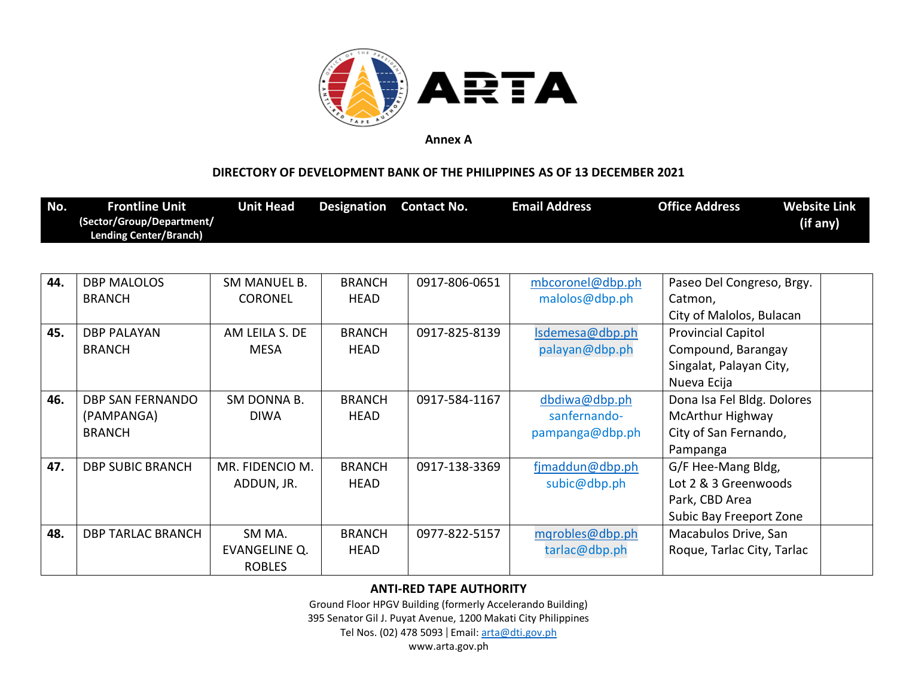

## **DIRECTORY OF DEVELOPMENT BANK OF THE PHILIPPINES AS OF 13 DECEMBER 2021**

| No. | <b>Frontline Unit</b>                                      | <b>Unit Head</b>    | <b>Designation</b> | <b>Contact No.</b> | <b>Email Address</b> | <b>Office Address</b>      | <b>Website Link</b> |
|-----|------------------------------------------------------------|---------------------|--------------------|--------------------|----------------------|----------------------------|---------------------|
|     | (Sector/Group/Department/<br><b>Lending Center/Branch)</b> |                     |                    |                    |                      |                            | (if any)            |
|     |                                                            |                     |                    |                    |                      |                            |                     |
| 44. | <b>DBP MALOLOS</b>                                         | <b>SM MANUEL B.</b> | <b>BRANCH</b>      | 0917-806-0651      | mbcoronel@dbp.ph     | Paseo Del Congreso, Brgy.  |                     |
|     | <b>BRANCH</b>                                              | <b>CORONEL</b>      | HEAD               |                    | malolos@dbp.ph       | Catmon,                    |                     |
|     |                                                            |                     |                    |                    |                      | City of Malolos, Bulacan   |                     |
| 45. | <b>DBP PALAYAN</b>                                         | AM LEILA S. DE      | <b>BRANCH</b>      | 0917-825-8139      | Isdemesa@dbp.ph      | <b>Provincial Capitol</b>  |                     |
|     | <b>BRANCH</b>                                              | <b>MESA</b>         | <b>HEAD</b>        |                    | palayan@dbp.ph       | Compound, Barangay         |                     |
|     |                                                            |                     |                    |                    |                      | Singalat, Palayan City,    |                     |
|     |                                                            |                     |                    |                    |                      | Nueva Ecija                |                     |
| 46. | DBP SAN FERNANDO                                           | SM DONNA B.         | <b>BRANCH</b>      | 0917-584-1167      | dbdiwa@dbp.ph        | Dona Isa Fel Bldg. Dolores |                     |
|     | (PAMPANGA)                                                 | <b>DIWA</b>         | HEAD               |                    | sanfernando-         | McArthur Highway           |                     |
|     | <b>BRANCH</b>                                              |                     |                    |                    | pampanga@dbp.ph      | City of San Fernando,      |                     |
|     |                                                            |                     |                    |                    |                      | Pampanga                   |                     |
| 47. | <b>DBP SUBIC BRANCH</b>                                    | MR. FIDENCIO M.     | <b>BRANCH</b>      | 0917-138-3369      | fimaddun@dbp.ph      | G/F Hee-Mang Bldg,         |                     |
|     |                                                            | ADDUN, JR.          | HEAD               |                    | subic@dbp.ph         | Lot 2 & 3 Greenwoods       |                     |
|     |                                                            |                     |                    |                    |                      | Park, CBD Area             |                     |
|     |                                                            |                     |                    |                    |                      | Subic Bay Freeport Zone    |                     |
| 48. | <b>DBP TARLAC BRANCH</b>                                   | SM MA.              | <b>BRANCH</b>      | 0977-822-5157      | mqrobles@dbp.ph      | Macabulos Drive, San       |                     |
|     |                                                            | EVANGELINE Q.       | HEAD               |                    | tarlac@dbp.ph        | Roque, Tarlac City, Tarlac |                     |
|     |                                                            | <b>ROBLES</b>       |                    |                    |                      |                            |                     |

### **ANTI-RED TAPE AUTHORITY**

Ground Floor HPGV Building (formerly Accelerando Building)

395 Senator Gil J. Puyat Avenue, 1200 Makati City Philippines

Tel Nos. (02) 478 5093 | Email: [arta@dti.gov.ph](mailto:arta@dti.gov.ph)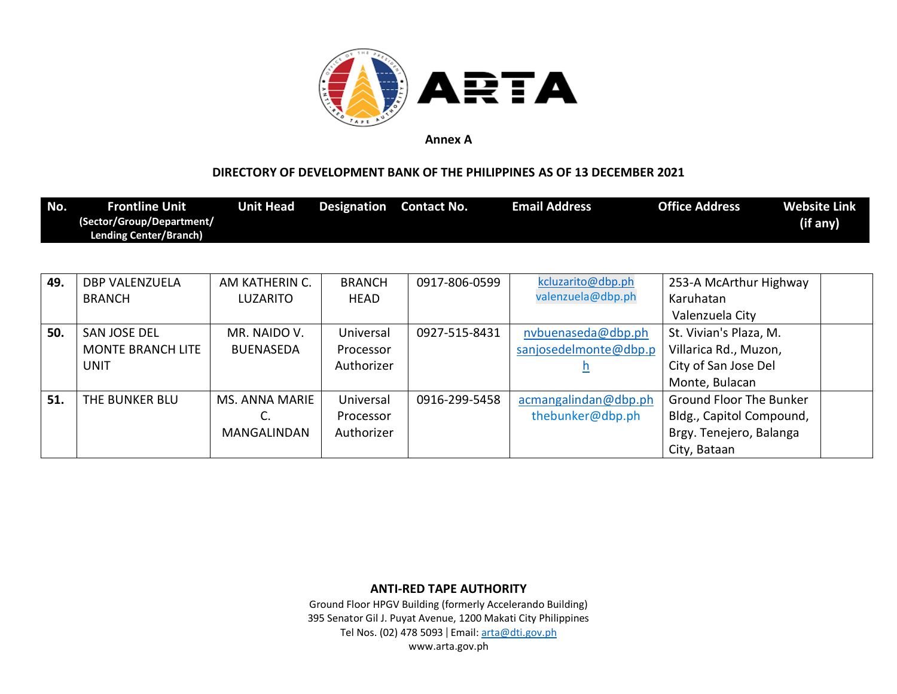

## **DIRECTORY OF DEVELOPMENT BANK OF THE PHILIPPINES AS OF 13 DECEMBER 2021**

| No. | <b>Frontline Unit</b><br>(Sector/Group/Department/<br><b>Lending Center/Branch)</b> | <b>Unit Head</b>      | <b>Designation</b> | <b>Contact No.</b> | <b>Email Address</b>  | <b>Office Address</b>          | <b>Website Link</b><br>(if any) |
|-----|-------------------------------------------------------------------------------------|-----------------------|--------------------|--------------------|-----------------------|--------------------------------|---------------------------------|
|     |                                                                                     |                       |                    |                    |                       |                                |                                 |
| 49. | <b>DBP VALENZUELA</b>                                                               | AM KATHERIN C.        | <b>BRANCH</b>      | 0917-806-0599      | kcluzarito@dbp.ph     | 253-A McArthur Highway         |                                 |
|     | <b>BRANCH</b>                                                                       | <b>LUZARITO</b>       | HEAD               |                    | valenzuela@dbp.ph     | Karuhatan                      |                                 |
|     |                                                                                     |                       |                    |                    |                       | Valenzuela City                |                                 |
| 50. | <b>SAN JOSE DEL</b>                                                                 | MR. NAIDO V.          | Universal          | 0927-515-8431      | nvbuenaseda@dbp.ph    | St. Vivian's Plaza, M.         |                                 |
|     | <b>MONTE BRANCH LITE</b>                                                            | <b>BUENASEDA</b>      | Processor          |                    | sanjosedelmonte@dbp.p | Villarica Rd., Muzon,          |                                 |
|     | <b>UNIT</b>                                                                         |                       | Authorizer         |                    |                       | City of San Jose Del           |                                 |
|     |                                                                                     |                       |                    |                    |                       | Monte, Bulacan                 |                                 |
| 51. | THE BUNKER BLU                                                                      | <b>MS. ANNA MARIE</b> | Universal          | 0916-299-5458      | acmangalindan@dbp.ph  | <b>Ground Floor The Bunker</b> |                                 |
|     |                                                                                     | C.                    | Processor          |                    | thebunker@dbp.ph      | Bldg., Capitol Compound,       |                                 |
|     |                                                                                     | <b>MANGALINDAN</b>    | Authorizer         |                    |                       | Brgy. Tenejero, Balanga        |                                 |
|     |                                                                                     |                       |                    |                    |                       | City, Bataan                   |                                 |

**ANTI-RED TAPE AUTHORITY**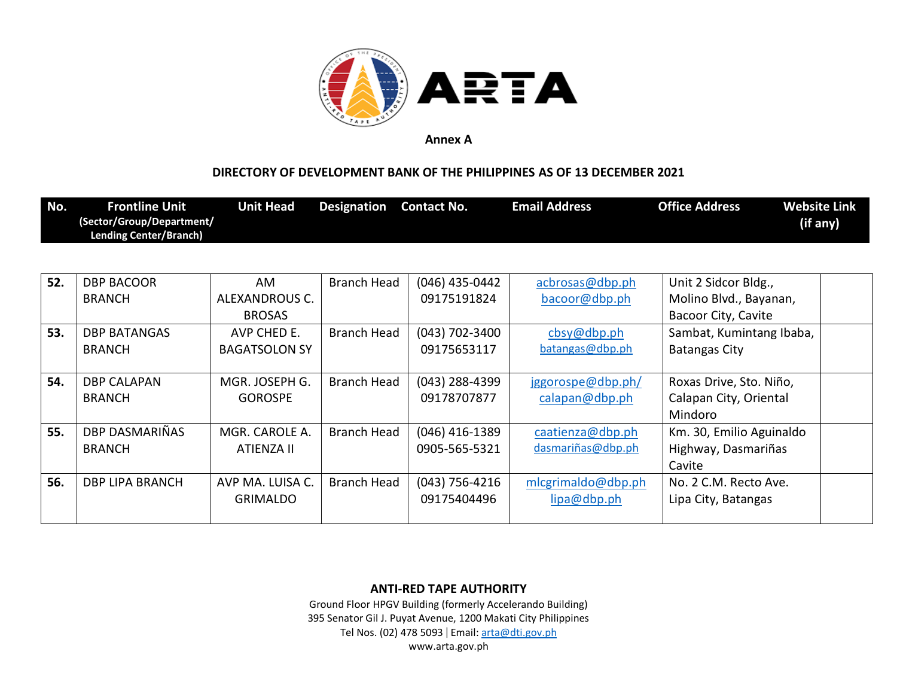

### **DIRECTORY OF DEVELOPMENT BANK OF THE PHILIPPINES AS OF 13 DECEMBER 2021**

| No. | <b>Frontline Unit</b><br>(Sector/Group/Department/<br><b>Lending Center/Branch)</b> | <b>Unit Head</b> | <b>Designation</b> Contact No. |                | <b>Email Address</b> | <b>Office Address</b>  | <b>Website Link</b><br>(if any) |
|-----|-------------------------------------------------------------------------------------|------------------|--------------------------------|----------------|----------------------|------------------------|---------------------------------|
|     |                                                                                     |                  |                                |                |                      |                        |                                 |
| 52. | <b>DBP BACOOR</b>                                                                   | AM               | Branch Head                    | (046) 435-0442 | acbrosas@dbp.ph      | Unit 2 Sidcor Bldg.,   |                                 |
|     | <b>BRANCH</b>                                                                       | ALEXANDROUS C.   |                                | 09175191824    | bacoor@dbp.ph        | Molino Blvd., Bayanan, |                                 |

|     | <b>BRANCH</b>       | ALEXANDROUS C.       |                    | 09175191824      | bacoor@dbp.ph        | Molino Blvd., Bayanan,   |  |
|-----|---------------------|----------------------|--------------------|------------------|----------------------|--------------------------|--|
|     |                     | <b>BROSAS</b>        |                    |                  |                      | Bacoor City, Cavite      |  |
| 53. | <b>DBP BATANGAS</b> | AVP CHED E.          | <b>Branch Head</b> | $(043)$ 702-3400 | $\cos\varphi$ dbp.ph | Sambat, Kumintang Ibaba, |  |
|     | <b>BRANCH</b>       | <b>BAGATSOLON SY</b> |                    | 09175653117      | batangas@dbp.ph      | <b>Batangas City</b>     |  |
|     |                     |                      |                    |                  |                      |                          |  |
| 54. | <b>DBP CALAPAN</b>  | MGR. JOSEPH G.       | <b>Branch Head</b> | $(043)$ 288-4399 | jggorospe@dbp.ph/    | Roxas Drive, Sto. Niño,  |  |
|     | <b>BRANCH</b>       | <b>GOROSPE</b>       |                    | 09178707877      | calapan@dbp.ph       | Calapan City, Oriental   |  |
|     |                     |                      |                    |                  |                      | Mindoro                  |  |
| 55. | DBP DASMARIÑAS      | MGR. CAROLE A.       | <b>Branch Head</b> | $(046)$ 416-1389 | caatienza@dbp.ph     | Km. 30, Emilio Aguinaldo |  |
|     | <b>BRANCH</b>       | ATIENZA II           |                    | 0905-565-5321    | dasmariñas@dbp.ph    | Highway, Dasmariñas      |  |
|     |                     |                      |                    |                  |                      | Cavite                   |  |
| 56. | DBP LIPA BRANCH     | AVP MA. LUISA C.     | <b>Branch Head</b> | $(043)$ 756-4216 | mlcgrimaldo@dbp.ph   | No. 2 C.M. Recto Ave.    |  |
|     |                     | <b>GRIMALDO</b>      |                    | 09175404496      | lipa@dbp.ph          | Lipa City, Batangas      |  |
|     |                     |                      |                    |                  |                      |                          |  |

**ANTI-RED TAPE AUTHORITY**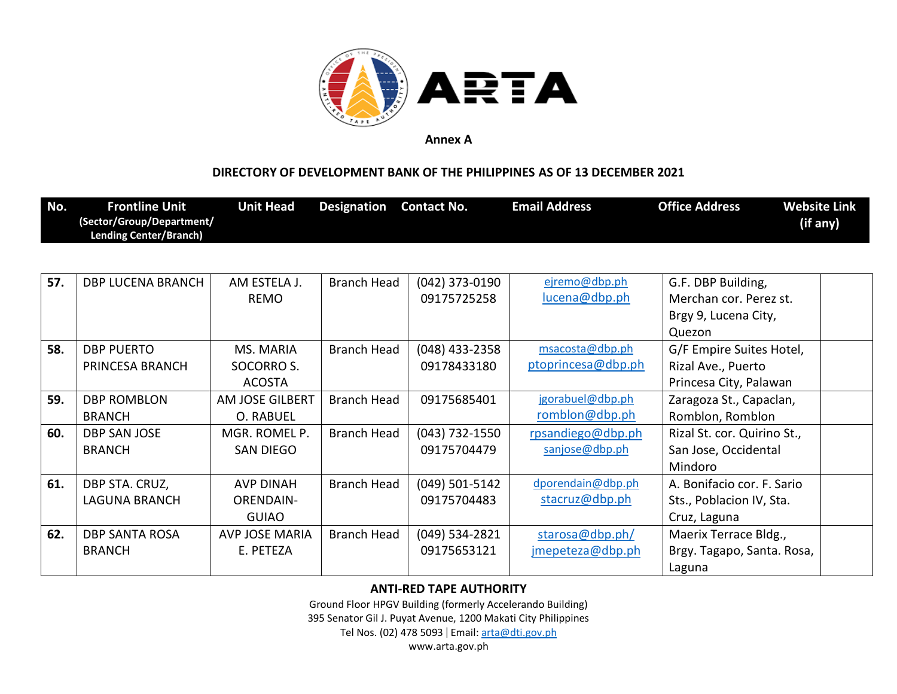

## **DIRECTORY OF DEVELOPMENT BANK OF THE PHILIPPINES AS OF 13 DECEMBER 2021**

| No. | <b>Frontline Unit</b><br>(Sector/Group/Department/<br><b>Lending Center/Branch)</b> | <b>Unit Head</b>       | <b>Designation</b> | <b>Contact No.</b> | <b>Email Address</b>            | <b>Office Address</b>       | <b>Website Link</b><br>(if any) |
|-----|-------------------------------------------------------------------------------------|------------------------|--------------------|--------------------|---------------------------------|-----------------------------|---------------------------------|
|     |                                                                                     |                        |                    |                    |                                 |                             |                                 |
| 57. | <b>DBP LUCENA BRANCH</b>                                                            | AM ESTELA J.           | <b>Branch Head</b> | $(042)$ 373-0190   | ejremo@dbp.ph                   | G.F. DBP Building,          |                                 |
|     |                                                                                     | <b>REMO</b>            |                    | 09175725258        | lucena@dbp.ph                   | Merchan cor. Perez st.      |                                 |
|     |                                                                                     |                        |                    |                    |                                 | Brgy 9, Lucena City,        |                                 |
|     |                                                                                     |                        |                    |                    |                                 | Quezon                      |                                 |
| 58. | <b>DBP PUERTO</b>                                                                   | MS. MARIA              | <b>Branch Head</b> | (048) 433-2358     | msaccota@dbp.ph                 | G/F Empire Suites Hotel,    |                                 |
|     | PRINCESA BRANCH                                                                     | SOCORRO S.             |                    | 09178433180        | ptoprincesa@dbp.ph              | Rizal Ave., Puerto          |                                 |
|     |                                                                                     | <b>ACOSTA</b>          |                    |                    |                                 | Princesa City, Palawan      |                                 |
| 59. | <b>DBP ROMBLON</b>                                                                  | <b>AM JOSE GILBERT</b> | <b>Branch Head</b> | 09175685401        | jgorabuel@dbp.ph                | Zaragoza St., Capaclan,     |                                 |
|     | <b>BRANCH</b>                                                                       | O. RABUEL              |                    |                    | romblon@dbp.ph                  | Romblon, Romblon            |                                 |
| 60. | <b>DBP SAN JOSE</b>                                                                 | MGR. ROMEL P.          | <b>Branch Head</b> | $(043)$ 732-1550   | rpsandiego@dbp.ph               | Rizal St. cor. Quirino St., |                                 |
|     | <b>BRANCH</b>                                                                       | <b>SAN DIEGO</b>       |                    | 09175704479        | sanjose@dbp.ph                  | San Jose, Occidental        |                                 |
|     |                                                                                     |                        |                    |                    |                                 | Mindoro                     |                                 |
| 61. | DBP STA. CRUZ,                                                                      | <b>AVP DINAH</b>       | <b>Branch Head</b> | $(049)$ 501-5142   | dporendain@dbp.ph               | A. Bonifacio cor. F. Sario  |                                 |
|     | <b>LAGUNA BRANCH</b>                                                                | <b>ORENDAIN-</b>       |                    | 09175704483        | stacruz@dbp.ph                  | Sts., Poblacion IV, Sta.    |                                 |
|     |                                                                                     | <b>GUIAO</b>           |                    |                    |                                 | Cruz, Laguna                |                                 |
| 62. | <b>DBP SANTA ROSA</b>                                                               | <b>AVP JOSE MARIA</b>  | Branch Head        | $(049)$ 534-2821   | $\frac{\text{stars@dbp.php}}{}$ | Maerix Terrace Bldg.,       |                                 |
|     | <b>BRANCH</b>                                                                       | E. PETEZA              |                    | 09175653121        | jmepeteza@dbp.ph                | Brgy. Tagapo, Santa. Rosa,  |                                 |
|     |                                                                                     |                        |                    |                    |                                 | Laguna                      |                                 |

### **ANTI-RED TAPE AUTHORITY**

Ground Floor HPGV Building (formerly Accelerando Building)

395 Senator Gil J. Puyat Avenue, 1200 Makati City Philippines

Tel Nos. (02) 478 5093 | Email: [arta@dti.gov.ph](mailto:arta@dti.gov.ph)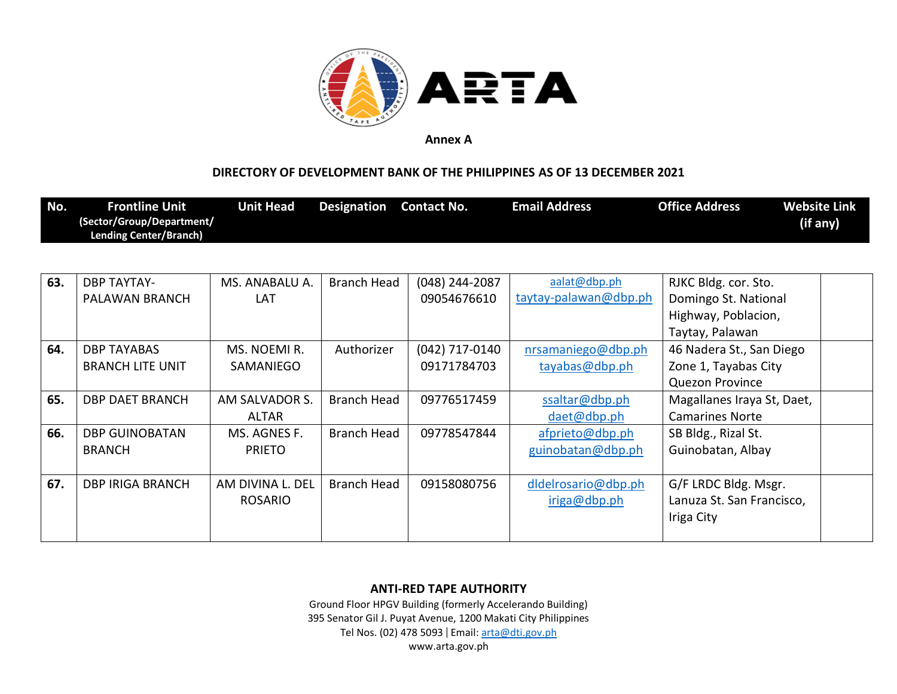

### **DIRECTORY OF DEVELOPMENT BANK OF THE PHILIPPINES AS OF 13 DECEMBER 2021**

| No. | <b>Frontline Unit</b><br>(Sector/Group/Department/<br><b>Lending Center/Branch)</b> | Unit Head | Designation Contact No. | <b>Email Address</b> | <b>Office Address</b> | <b>Website Link</b><br>(if any) |
|-----|-------------------------------------------------------------------------------------|-----------|-------------------------|----------------------|-----------------------|---------------------------------|
|     |                                                                                     |           |                         |                      |                       |                                 |

| 63. | <b>DBP TAYTAY-</b>      | MS. ANABALU A.   | <b>Branch Head</b> | $(048)$ 244-2087 | aalat@dbp.ph          | RJKC Bldg. cor. Sto.       |  |
|-----|-------------------------|------------------|--------------------|------------------|-----------------------|----------------------------|--|
|     | PALAWAN BRANCH          | LAT              |                    | 09054676610      | taytay-palawan@dbp.ph | Domingo St. National       |  |
|     |                         |                  |                    |                  |                       | Highway, Poblacion,        |  |
|     |                         |                  |                    |                  |                       | Taytay, Palawan            |  |
| 64. | <b>DBP TAYABAS</b>      | MS. NOEMI R.     | Authorizer         | (042) 717-0140   | nrsamaniego@dbp.ph    | 46 Nadera St., San Diego   |  |
|     | <b>BRANCH LITE UNIT</b> | SAMANIEGO        |                    | 09171784703      | tayabas@dbp.ph        | Zone 1, Tayabas City       |  |
|     |                         |                  |                    |                  |                       | <b>Quezon Province</b>     |  |
| 65. | DBP DAET BRANCH         | AM SALVADOR S.   | Branch Head        | 09776517459      | ssaltar@dbp.ph        | Magallanes Iraya St, Daet, |  |
|     |                         | <b>ALTAR</b>     |                    |                  | daet@dbp.ph           | <b>Camarines Norte</b>     |  |
| 66. | <b>DBP GUINOBATAN</b>   | MS. AGNES F.     | <b>Branch Head</b> | 09778547844      | afprieto@dbp.ph       | SB Bldg., Rizal St.        |  |
|     | <b>BRANCH</b>           | <b>PRIETO</b>    |                    |                  | guinobatan@dbp.ph     | Guinobatan, Albay          |  |
|     |                         |                  |                    |                  |                       |                            |  |
| 67. | <b>DBP IRIGA BRANCH</b> | AM DIVINA L. DEL | <b>Branch Head</b> | 09158080756      | dldelrosario@dbp.ph   | G/F LRDC Bldg. Msgr.       |  |
|     |                         | <b>ROSARIO</b>   |                    |                  | iriga@dbp.ph          | Lanuza St. San Francisco,  |  |
|     |                         |                  |                    |                  |                       | Iriga City                 |  |
|     |                         |                  |                    |                  |                       |                            |  |

**ANTI-RED TAPE AUTHORITY**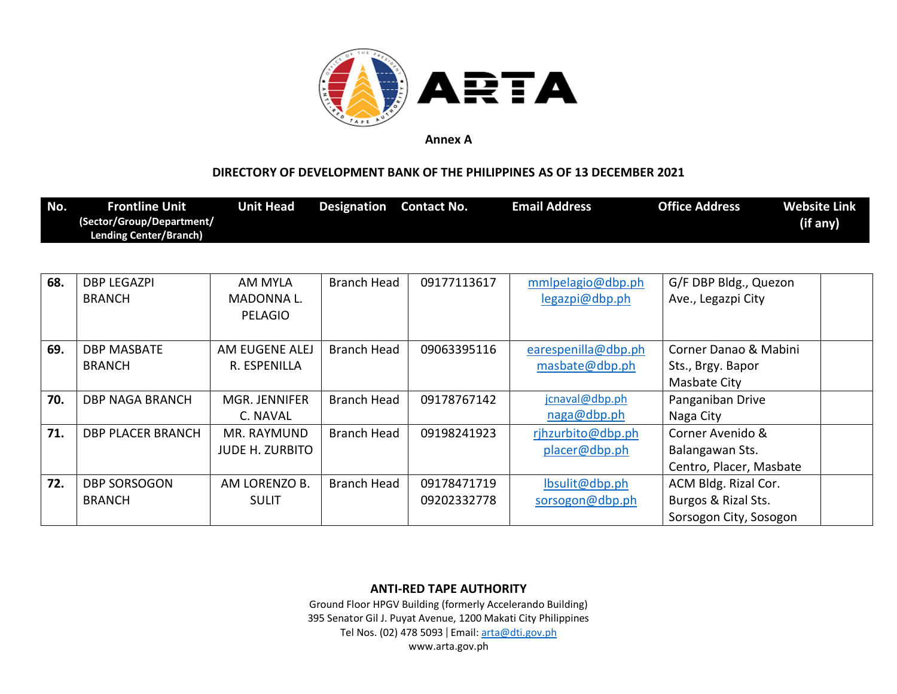

#### **DIRECTORY OF DEVELOPMENT BANK OF THE PHILIPPINES AS OF 13 DECEMBER 2021**

| No. | <b>Frontline Unit</b>         | <b>Unit Head</b> | <b>Designation</b> | <b>Contact No.</b> | <b>Email Address</b> | <b>Office Address</b> | <b>Website Link</b> |
|-----|-------------------------------|------------------|--------------------|--------------------|----------------------|-----------------------|---------------------|
|     | (Sector/Group/Department/     |                  |                    |                    |                      |                       | (if any)            |
|     | <b>Lending Center/Branch)</b> |                  |                    |                    |                      |                       |                     |

| 68. | <b>DBP LEGAZPI</b><br><b>BRANCH</b> | AM MYLA<br>MADONNA L.<br><b>PELAGIO</b> | Branch Head        | 09177113617 | mmlpelagio@dbp.ph<br>legazpi@dbp.ph | G/F DBP Bldg., Quezon<br>Ave., Legazpi City |
|-----|-------------------------------------|-----------------------------------------|--------------------|-------------|-------------------------------------|---------------------------------------------|
| 69. | <b>DBP MASBATE</b>                  | AM EUGENE ALEJ                          | <b>Branch Head</b> | 09063395116 | earespenilla@dbp.ph                 | Corner Danao & Mabini                       |
|     | <b>BRANCH</b>                       | R. ESPENILLA                            |                    |             | masbate@dbp.ph                      | Sts., Brgy. Bapor                           |
|     |                                     |                                         |                    |             |                                     | <b>Masbate City</b>                         |
| 70. | <b>DBP NAGA BRANCH</b>              | MGR. JENNIFER                           | Branch Head        | 09178767142 | jcnaval@dbp.ph                      | Panganiban Drive                            |
|     |                                     | C. NAVAL                                |                    |             | naga@dbp.ph                         | Naga City                                   |
| 71. | <b>DBP PLACER BRANCH</b>            | MR. RAYMUND                             | Branch Head        | 09198241923 | rjhzurbito@dbp.ph                   | Corner Avenido &                            |
|     |                                     | <b>JUDE H. ZURBITO</b>                  |                    |             | placer@dbp.ph                       | Balangawan Sts.                             |
|     |                                     |                                         |                    |             |                                     | Centro, Placer, Masbate                     |
| 72. | <b>DBP SORSOGON</b>                 | AM LORENZO B.                           | Branch Head        | 09178471719 | lbsulit@dbp.ph                      | ACM Bldg. Rizal Cor.                        |
|     | <b>BRANCH</b>                       | <b>SULIT</b>                            |                    | 09202332778 | sorsogon@dbp.ph                     | Burgos & Rizal Sts.                         |
|     |                                     |                                         |                    |             |                                     | Sorsogon City, Sosogon                      |

**ANTI-RED TAPE AUTHORITY**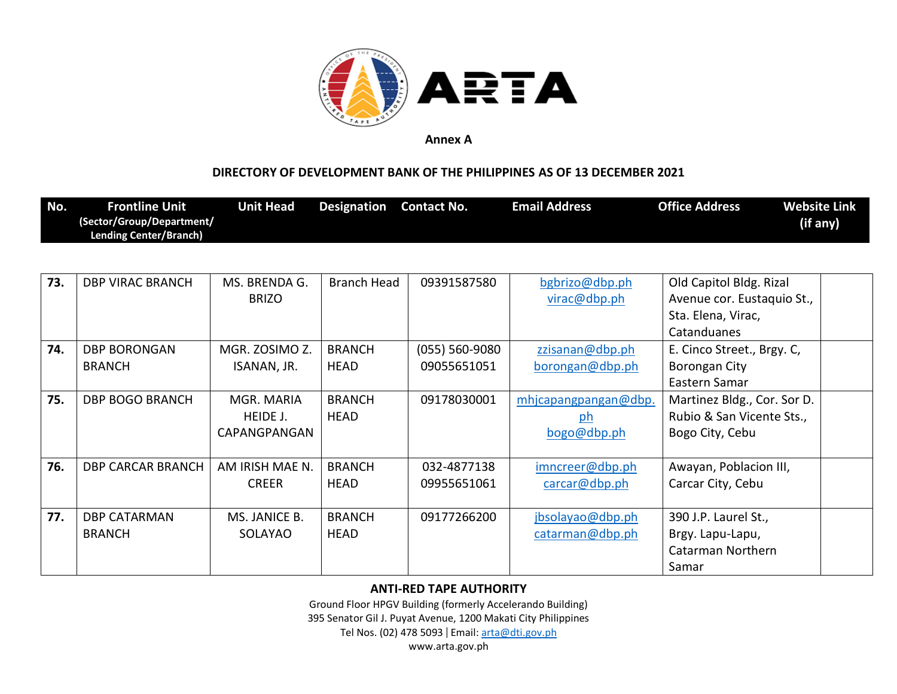

### **DIRECTORY OF DEVELOPMENT BANK OF THE PHILIPPINES AS OF 13 DECEMBER 2021**

| No. | <b>Frontline Unit</b>         | Unit Head | Designation | <b>Contact No.</b> | <b>Email Address</b> | <b>Office Address</b> | <b>Website Link</b> |
|-----|-------------------------------|-----------|-------------|--------------------|----------------------|-----------------------|---------------------|
|     | (Sector/Group/Department/     |           |             |                    |                      |                       | (if any)            |
|     | <b>Lending Center/Branch)</b> |           |             |                    |                      |                       |                     |

| 73. | <b>DBP VIRAC BRANCH</b>  | MS. BRENDA G.   | <b>Branch Head</b> | 09391587580        | bgbrizo@dbp.ph       | Old Capitol Bldg. Rizal     |  |
|-----|--------------------------|-----------------|--------------------|--------------------|----------------------|-----------------------------|--|
|     |                          | <b>BRIZO</b>    |                    |                    | virac@dbp.ph         | Avenue cor. Eustaquio St.,  |  |
|     |                          |                 |                    |                    |                      | Sta. Elena, Virac,          |  |
|     |                          |                 |                    |                    |                      | Catanduanes                 |  |
| 74. | <b>DBP BORONGAN</b>      | MGR. ZOSIMO Z.  | <b>BRANCH</b>      | $(055) 560 - 9080$ | zzisanan@dbp.ph      | E. Cinco Street., Brgy. C,  |  |
|     | <b>BRANCH</b>            | ISANAN, JR.     | <b>HEAD</b>        | 09055651051        | borongan@dbp.ph      | Borongan City               |  |
|     |                          |                 |                    |                    |                      | Eastern Samar               |  |
| 75. | <b>DBP BOGO BRANCH</b>   | MGR. MARIA      | <b>BRANCH</b>      | 09178030001        | mhjcapangpangan@dbp. | Martinez Bldg., Cor. Sor D. |  |
|     |                          | HEIDE J.        | <b>HEAD</b>        |                    | ph                   | Rubio & San Vicente Sts.,   |  |
|     |                          | CAPANGPANGAN    |                    |                    | bogo@dbp.ph          | Bogo City, Cebu             |  |
|     |                          |                 |                    |                    |                      |                             |  |
| 76. | <b>DBP CARCAR BRANCH</b> | AM IRISH MAE N. | <b>BRANCH</b>      | 032-4877138        | imncreer@dbp.ph      | Awayan, Poblacion III,      |  |
|     |                          | <b>CREER</b>    | <b>HEAD</b>        | 09955651061        | carcar@dbp.php       | Carcar City, Cebu           |  |
|     |                          |                 |                    |                    |                      |                             |  |
| 77. | <b>DBP CATARMAN</b>      | MS. JANICE B.   | <b>BRANCH</b>      | 09177266200        | jbsolayao@dbp.ph     | 390 J.P. Laurel St.,        |  |
|     | <b>BRANCH</b>            | SOLAYAO         | <b>HEAD</b>        |                    | catarman@dbp.ph      | Brgy. Lapu-Lapu,            |  |
|     |                          |                 |                    |                    |                      | Catarman Northern           |  |
|     |                          |                 |                    |                    |                      | Samar                       |  |

### **ANTI-RED TAPE AUTHORITY**

Ground Floor HPGV Building (formerly Accelerando Building) 395 Senator Gil J. Puyat Avenue, 1200 Makati City Philippines Tel Nos. (02) 478 5093 | Email: [arta@dti.gov.ph](mailto:arta@dti.gov.ph)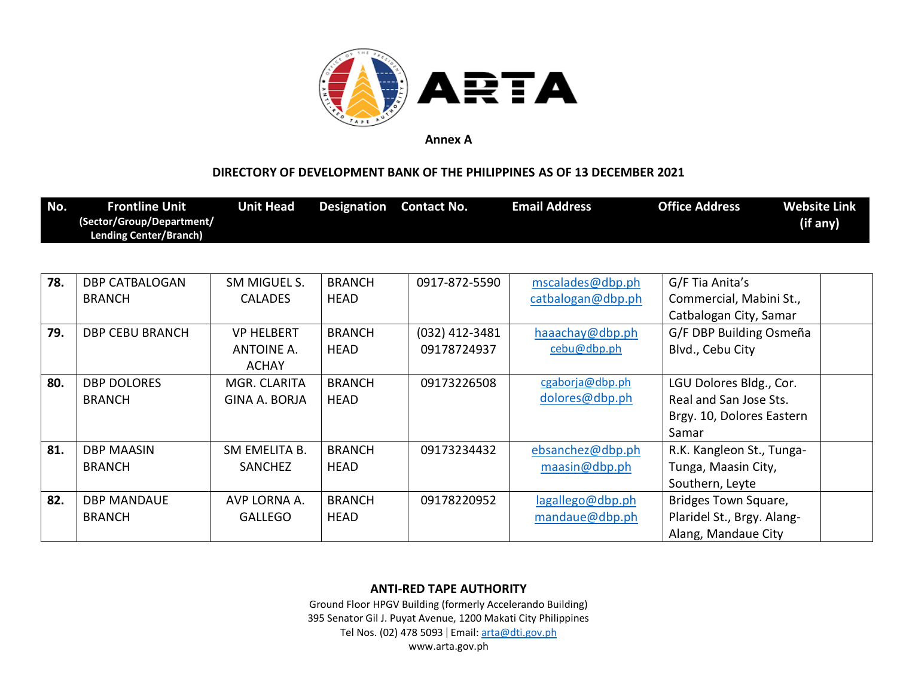

### **DIRECTORY OF DEVELOPMENT BANK OF THE PHILIPPINES AS OF 13 DECEMBER 2021**

| No. | <b>Frontline Unit</b>                                      | <b>Unit Head</b>     | <b>Designation</b> | <b>Contact No.</b> | <b>Email Address</b> | <b>Office Address</b>      | <b>Website Link</b> |
|-----|------------------------------------------------------------|----------------------|--------------------|--------------------|----------------------|----------------------------|---------------------|
|     | (Sector/Group/Department/<br><b>Lending Center/Branch)</b> |                      |                    |                    |                      |                            | (if any)            |
|     |                                                            |                      |                    |                    |                      |                            |                     |
|     |                                                            |                      |                    |                    |                      |                            |                     |
| 78. | <b>DBP CATBALOGAN</b>                                      | SM MIGUEL S.         | <b>BRANCH</b>      | 0917-872-5590      | mscalades@dbp.ph     | G/F Tia Anita's            |                     |
|     | <b>BRANCH</b>                                              | <b>CALADES</b>       | <b>HEAD</b>        |                    | catbalogan@dbp.ph    | Commercial, Mabini St.,    |                     |
|     |                                                            |                      |                    |                    |                      | Catbalogan City, Samar     |                     |
| 79. | <b>DBP CEBU BRANCH</b>                                     | <b>VP HELBERT</b>    | <b>BRANCH</b>      | $(032)$ 412-3481   | haaachay@dbp.ph      | G/F DBP Building Osmeña    |                     |
|     |                                                            | ANTOINE A.           | <b>HEAD</b>        | 09178724937        | cebu@dbp.ph          | Blvd., Cebu City           |                     |
|     |                                                            | <b>ACHAY</b>         |                    |                    |                      |                            |                     |
| 80. | <b>DBP DOLORES</b>                                         | MGR. CLARITA         | <b>BRANCH</b>      | 09173226508        | cgaborja@dbp.ph      | LGU Dolores Bldg., Cor.    |                     |
|     | <b>BRANCH</b>                                              | <b>GINA A. BORJA</b> | <b>HEAD</b>        |                    | dolores@dbp.ph       | Real and San Jose Sts.     |                     |
|     |                                                            |                      |                    |                    |                      | Brgy. 10, Dolores Eastern  |                     |
|     |                                                            |                      |                    |                    |                      | Samar                      |                     |
| 81. | <b>DBP MAASIN</b>                                          | SM EMELITA B.        | <b>BRANCH</b>      | 09173234432        | ebsanchez@dbp.ph     | R.K. Kangleon St., Tunga-  |                     |
|     | <b>BRANCH</b>                                              | <b>SANCHEZ</b>       | <b>HEAD</b>        |                    | maasin@dbp.ph        | Tunga, Maasin City,        |                     |
|     |                                                            |                      |                    |                    |                      | Southern, Leyte            |                     |
| 82. | <b>DBP MANDAUE</b>                                         | AVP LORNA A.         | <b>BRANCH</b>      | 09178220952        | lagallego@dbp.ph     | Bridges Town Square,       |                     |
|     | <b>BRANCH</b>                                              | <b>GALLEGO</b>       | <b>HEAD</b>        |                    | mandaue@dbp.ph       | Plaridel St., Brgy. Alang- |                     |
|     |                                                            |                      |                    |                    |                      | Alang, Mandaue City        |                     |

### **ANTI-RED TAPE AUTHORITY**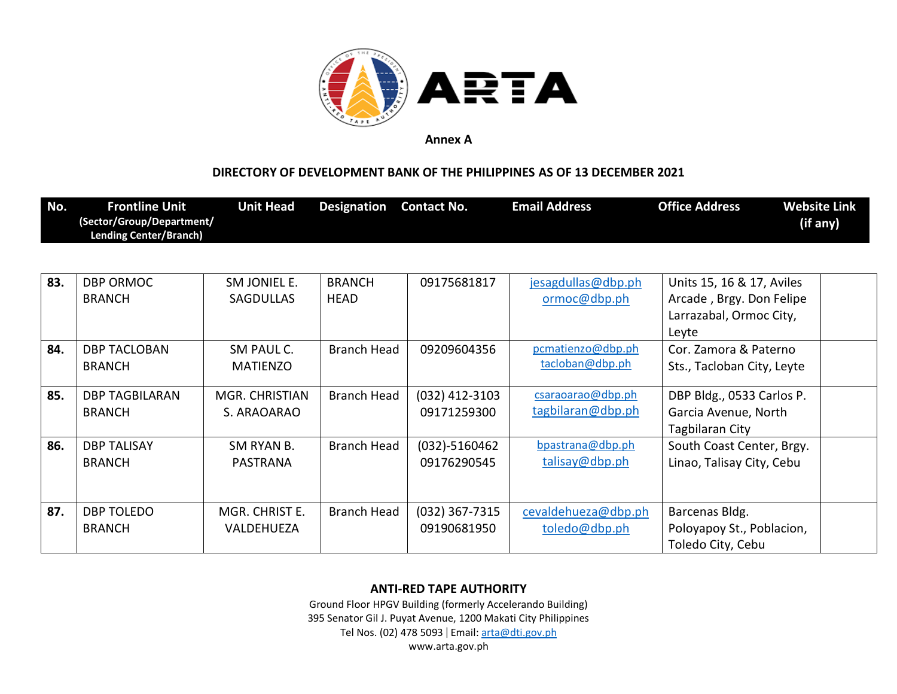

## **DIRECTORY OF DEVELOPMENT BANK OF THE PHILIPPINES AS OF 13 DECEMBER 2021**

| No. | <b>Frontline Unit</b><br>(Sector/Group/Department/<br><b>Lending Center/Branch)</b> | <b>Unit Head</b>                 | <b>Designation</b>           | <b>Contact No.</b>               | <b>Email Address</b>                   | <b>Office Address</b>                                                                     | <b>Website Link</b><br>(if any) |
|-----|-------------------------------------------------------------------------------------|----------------------------------|------------------------------|----------------------------------|----------------------------------------|-------------------------------------------------------------------------------------------|---------------------------------|
|     |                                                                                     |                                  |                              |                                  |                                        |                                                                                           |                                 |
| 83. | <b>DBP ORMOC</b><br><b>BRANCH</b>                                                   | SM JONIEL E.<br><b>SAGDULLAS</b> | <b>BRANCH</b><br><b>HEAD</b> | 09175681817                      | jesagdullas@dbp.ph<br>ormoc@dbp.ph     | Units 15, 16 & 17, Aviles<br>Arcade, Brgy. Don Felipe<br>Larrazabal, Ormoc City,<br>Leyte |                                 |
| 84. | <b>DBP TACLOBAN</b><br><b>BRANCH</b>                                                | SM PAUL C.<br><b>MATIENZO</b>    | <b>Branch Head</b>           | 09209604356                      | pcmatienzo@dbp.ph<br>tacloban@dbp.ph   | Cor. Zamora & Paterno<br>Sts., Tacloban City, Leyte                                       |                                 |
| 85. | <b>DBP TAGBILARAN</b><br><b>BRANCH</b>                                              | MGR. CHRISTIAN<br>S. ARAOARAO    | Branch Head                  | (032) 412-3103<br>09171259300    | csaraoarao@dbp.ph<br>tagbilaran@dbp.ph | DBP Bldg., 0533 Carlos P.<br>Garcia Avenue, North<br>Tagbilaran City                      |                                 |
| 86. | <b>DBP TALISAY</b><br><b>BRANCH</b>                                                 | SM RYAN B.<br>PASTRANA           | Branch Head                  | $(032) - 5160462$<br>09176290545 | bpastrana@dbp.ph<br>talisay@dbp.ph     | South Coast Center, Brgy.<br>Linao, Talisay City, Cebu                                    |                                 |
| 87. | <b>DBP TOLEDO</b><br><b>BRANCH</b>                                                  | MGR. CHRIST E.<br>VALDEHUEZA     | Branch Head                  | (032) 367-7315<br>09190681950    | cevaldehueza@dbp.ph<br>toledo@dbp.ph   | Barcenas Bldg.<br>Poloyapoy St., Poblacion,<br>Toledo City, Cebu                          |                                 |

#### **ANTI-RED TAPE AUTHORITY**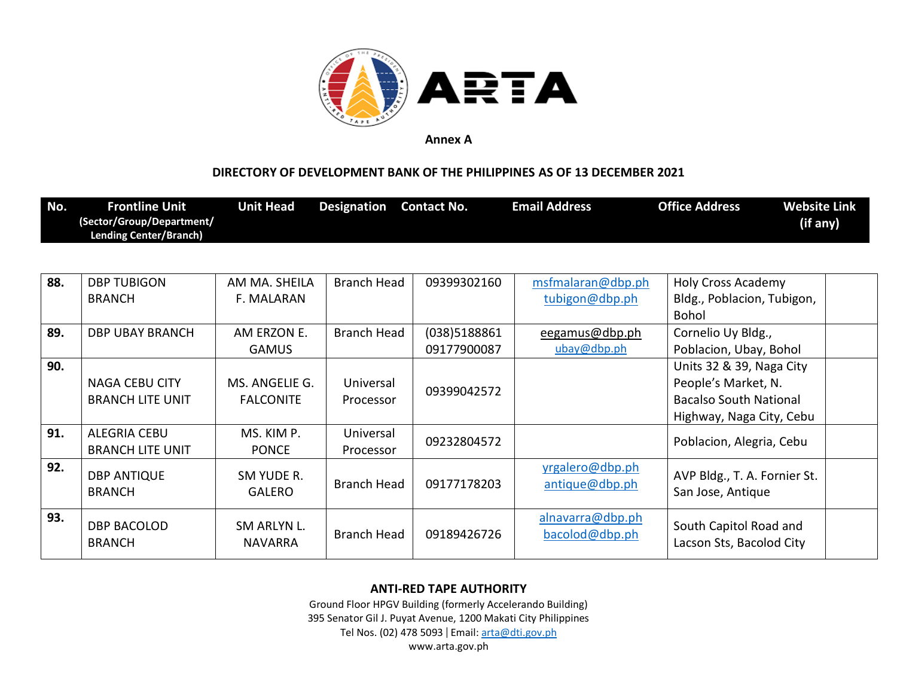

## **DIRECTORY OF DEVELOPMENT BANK OF THE PHILIPPINES AS OF 13 DECEMBER 2021**

| No. | <b>Frontline Unit</b><br>(Sector/Group/Department/<br><b>Lending Center/Branch)</b> | <b>Unit Head</b>                   | <b>Designation</b>     | <b>Contact No.</b> | <b>Email Address</b>               | <b>Office Address</b>                                                                                        | <b>Website Link</b><br>(if any) |
|-----|-------------------------------------------------------------------------------------|------------------------------------|------------------------|--------------------|------------------------------------|--------------------------------------------------------------------------------------------------------------|---------------------------------|
|     |                                                                                     |                                    |                        |                    |                                    |                                                                                                              |                                 |
| 88. | <b>DBP TUBIGON</b>                                                                  | AM MA. SHEILA                      | <b>Branch Head</b>     | 09399302160        | msfmalaran@dbp.ph                  | <b>Holy Cross Academy</b>                                                                                    |                                 |
|     | <b>BRANCH</b>                                                                       | F. MALARAN                         |                        |                    | tubigon@dbp.ph                     | Bldg., Poblacion, Tubigon,<br><b>Bohol</b>                                                                   |                                 |
| 89. | <b>DBP UBAY BRANCH</b>                                                              | AM ERZON E.                        | <b>Branch Head</b>     | (038)5188861       | eegamus@dbp.ph                     | Cornelio Uy Bldg.,                                                                                           |                                 |
|     |                                                                                     | <b>GAMUS</b>                       |                        | 09177900087        | ubay@dbp.ph                        | Poblacion, Ubay, Bohol                                                                                       |                                 |
| 90. | <b>NAGA CEBU CITY</b><br><b>BRANCH LITE UNIT</b>                                    | MS. ANGELIE G.<br><b>FALCONITE</b> | Universal<br>Processor | 09399042572        |                                    | Units 32 & 39, Naga City<br>People's Market, N.<br><b>Bacalso South National</b><br>Highway, Naga City, Cebu |                                 |
| 91. | <b>ALEGRIA CEBU</b><br><b>BRANCH LITE UNIT</b>                                      | MS. KIM P.<br><b>PONCE</b>         | Universal<br>Processor | 09232804572        |                                    | Poblacion, Alegria, Cebu                                                                                     |                                 |
| 92. | <b>DBP ANTIQUE</b><br><b>BRANCH</b>                                                 | SM YUDE R.<br><b>GALERO</b>        | Branch Head            | 09177178203        | yrgalero@dbp.ph<br>antique@dbp.ph  | AVP Bldg., T. A. Fornier St.<br>San Jose, Antique                                                            |                                 |
| 93. | <b>DBP BACOLOD</b><br><b>BRANCH</b>                                                 | SM ARLYN L.<br><b>NAVARRA</b>      | <b>Branch Head</b>     | 09189426726        | alnavarra@dbp.ph<br>bacolod@dbp.ph | South Capitol Road and<br>Lacson Sts, Bacolod City                                                           |                                 |

### **ANTI-RED TAPE AUTHORITY**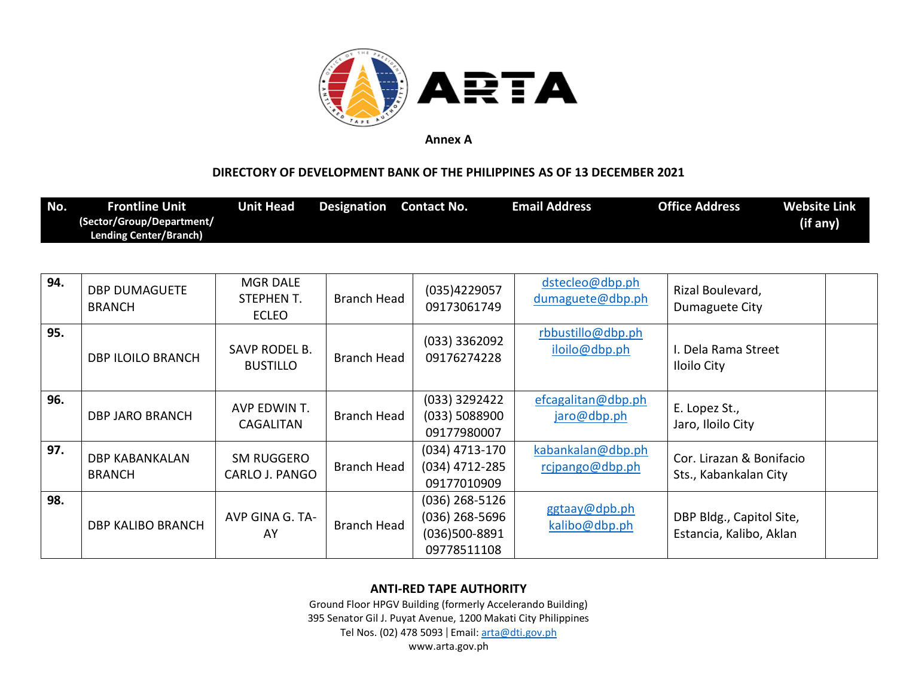

## **DIRECTORY OF DEVELOPMENT BANK OF THE PHILIPPINES AS OF 13 DECEMBER 2021**

| No. | Frontline Unit                | <b>Unit Head</b> | <b>Designation</b> | <b>Contact No.</b> | <b>Email Address</b> | <b>Office Address</b> | <b>Website Link</b> |
|-----|-------------------------------|------------------|--------------------|--------------------|----------------------|-----------------------|---------------------|
|     | (Sector/Group/Department/     |                  |                    |                    |                      |                       | (if any)            |
|     | <b>Lending Center/Branch)</b> |                  |                    |                    |                      |                       |                     |

| 94. | <b>DBP DUMAGUETE</b><br><b>BRANCH</b>  | <b>MGR DALE</b><br>STEPHEN T.<br><b>ECLEO</b> | <b>Branch Head</b> | (035)4229057<br>09173061749                                          | dstecleo@dbp.ph<br>dumaguete@dbp.ph  | Rizal Boulevard,<br>Dumaguete City                  |
|-----|----------------------------------------|-----------------------------------------------|--------------------|----------------------------------------------------------------------|--------------------------------------|-----------------------------------------------------|
| 95. | <b>DBP ILOILO BRANCH</b>               | SAVP RODEL B.<br><b>BUSTILLO</b>              | <b>Branch Head</b> | $(033)$ 3362092<br>09176274228                                       | rbbustillo@dbp.ph<br>iloilo@dbp.ph   | I. Dela Rama Street<br><b>Iloilo City</b>           |
| 96. | <b>DBP JARO BRANCH</b>                 | AVP EDWIN T.<br>CAGALITAN                     | <b>Branch Head</b> | (033) 3292422<br>(033) 5088900<br>09177980007                        | efcagalitan@dbp.ph<br>jaro@dbp.ph    | E. Lopez St.,<br>Jaro, Iloilo City                  |
| 97. | <b>DBP KABANKALAN</b><br><b>BRANCH</b> | SM RUGGERO<br>CARLO J. PANGO                  | <b>Branch Head</b> | $(034)$ 4713-170<br>(034) 4712-285<br>09177010909                    | kabankalan@dbp.ph<br>rcjpango@dbp.ph | Cor. Lirazan & Bonifacio<br>Sts., Kabankalan City   |
| 98. | DBP KALIBO BRANCH                      | AVP GINA G. TA-<br>AY                         | <b>Branch Head</b> | $(036)$ 268-5126<br>$(036)$ 268-5696<br>(036)500-8891<br>09778511108 | ggtaay@dpb.ph<br>kalibo@dbp.ph       | DBP Bldg., Capitol Site,<br>Estancia, Kalibo, Aklan |

# **ANTI-RED TAPE AUTHORITY**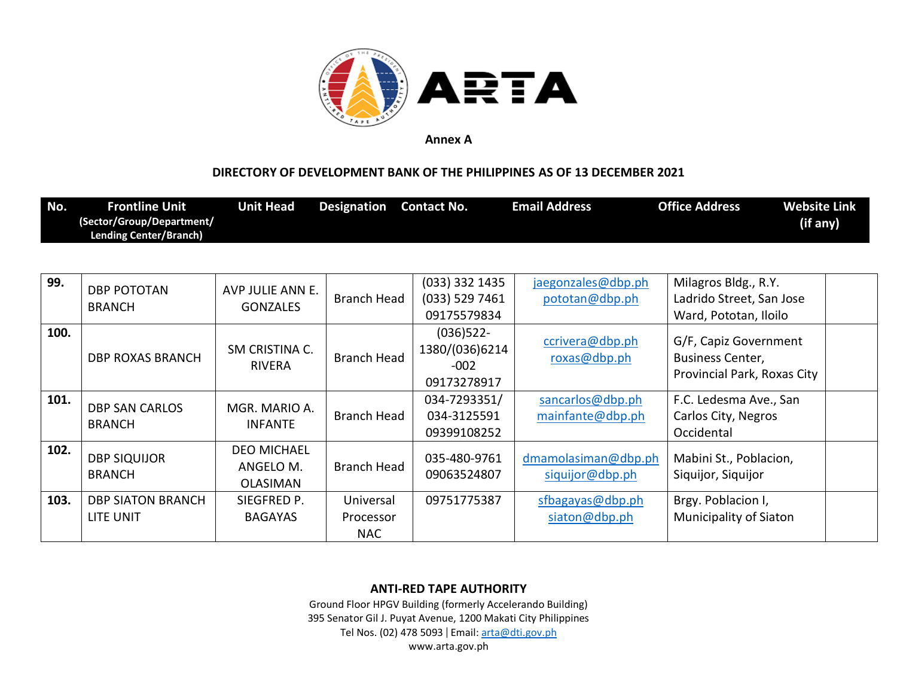

## **DIRECTORY OF DEVELOPMENT BANK OF THE PHILIPPINES AS OF 13 DECEMBER 2021**

| No.  | <b>Frontline Unit</b><br>(Sector/Group/Department/<br><b>Lending Center/Branch)</b> | <b>Unit Head</b>                                   | <b>Designation</b>                   | <b>Contact No.</b>                                      | <b>Email Address</b>                   | <b>Office Address</b><br>(if any)                                        | <b>Website Link</b> |
|------|-------------------------------------------------------------------------------------|----------------------------------------------------|--------------------------------------|---------------------------------------------------------|----------------------------------------|--------------------------------------------------------------------------|---------------------|
| 99.  |                                                                                     |                                                    |                                      | (033) 332 1435                                          | jaegonzales@dbp.ph                     | Milagros Bldg., R.Y.                                                     |                     |
|      | <b>DBP POTOTAN</b><br><b>BRANCH</b>                                                 | AVP JULIE ANN E.<br><b>GONZALES</b>                | <b>Branch Head</b>                   | (033) 529 7461<br>09175579834                           | pototan@dbp.ph                         | Ladrido Street, San Jose<br>Ward, Pototan, Iloilo                        |                     |
| 100. | <b>DBP ROXAS BRANCH</b>                                                             | SM CRISTINA C.<br><b>RIVERA</b>                    | <b>Branch Head</b>                   | $(036)522 -$<br>1380/(036)6214<br>$-002$<br>09173278917 | ccrivera@dbp.ph<br>roxas@dbp.ph        | G/F, Capiz Government<br>Business Center,<br>Provincial Park, Roxas City |                     |
| 101. | <b>DBP SAN CARLOS</b><br><b>BRANCH</b>                                              | MGR. MARIO A.<br><b>INFANTE</b>                    | <b>Branch Head</b>                   | 034-7293351/<br>034-3125591<br>09399108252              | sancarlos@dbp.ph<br>mainfante@dbp.ph   | F.C. Ledesma Ave., San<br>Carlos City, Negros<br>Occidental              |                     |
| 102. | <b>DBP SIQUIJOR</b><br><b>BRANCH</b>                                                | <b>DEO MICHAEL</b><br>ANGELO M.<br><b>OLASIMAN</b> | <b>Branch Head</b>                   | 035-480-9761<br>09063524807                             | dmamolasiman@dbp.ph<br>siquijor@dbp.ph | Mabini St., Poblacion,<br>Siquijor, Siquijor                             |                     |
| 103. | <b>DBP SIATON BRANCH</b><br>LITE UNIT                                               | SIEGFRED P.<br><b>BAGAYAS</b>                      | Universal<br>Processor<br><b>NAC</b> | 09751775387                                             | sfbagayas@dbp.ph<br>siaton@dbp.ph      | Brgy. Poblacion I,<br><b>Municipality of Siaton</b>                      |                     |

### **ANTI-RED TAPE AUTHORITY**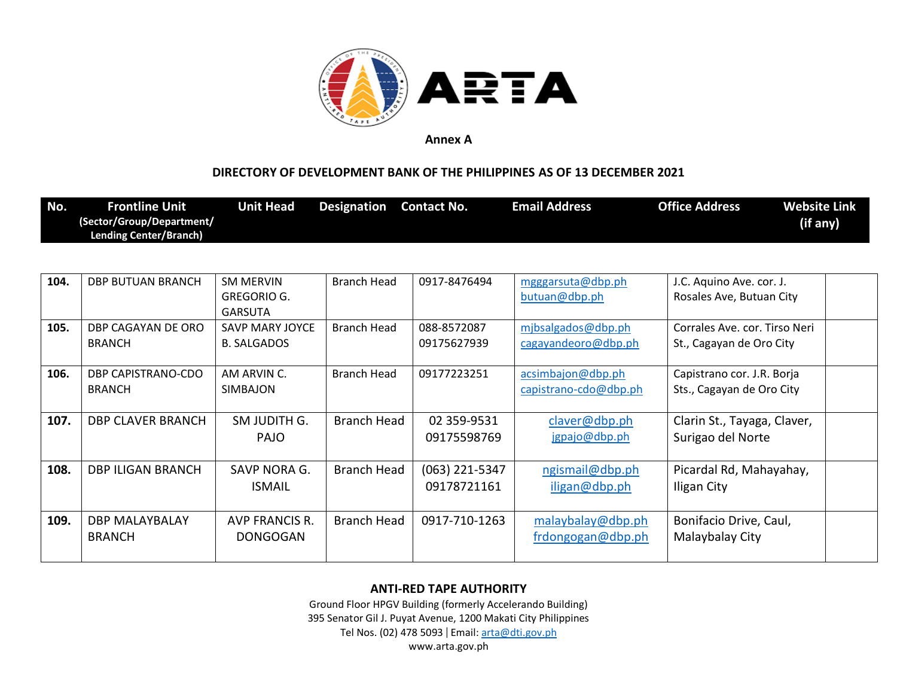

### **DIRECTORY OF DEVELOPMENT BANK OF THE PHILIPPINES AS OF 13 DECEMBER 2021**

| No.  | <b>Frontline Unit</b><br>(Sector/Group/Department/<br><b>Lending Center/Branch)</b> | <b>Unit Head</b>                                         | <b>Designation</b> | <b>Contact No.</b>              | <b>Email Address</b>                       | <b>Office Address</b>                                     | <b>Website Link</b><br>(if any) |
|------|-------------------------------------------------------------------------------------|----------------------------------------------------------|--------------------|---------------------------------|--------------------------------------------|-----------------------------------------------------------|---------------------------------|
|      |                                                                                     |                                                          |                    |                                 |                                            |                                                           |                                 |
| 104. | <b>DBP BUTUAN BRANCH</b>                                                            | <b>SM MERVIN</b><br><b>GREGORIO G.</b><br><b>GARSUTA</b> | <b>Branch Head</b> | 0917-8476494                    | mgggarsuta@dbp.ph<br>butuan@dbp.ph         | J.C. Aquino Ave. cor. J.<br>Rosales Ave, Butuan City      |                                 |
| 105. | DBP CAGAYAN DE ORO<br><b>BRANCH</b>                                                 | <b>SAVP MARY JOYCE</b><br><b>B. SALGADOS</b>             | Branch Head        | 088-8572087<br>09175627939      | mibsalgados@dbp.ph<br>cagayandeoro@dbp.ph  | Corrales Ave. cor. Tirso Neri<br>St., Cagayan de Oro City |                                 |
| 106. | DBP CAPISTRANO-CDO<br><b>BRANCH</b>                                                 | AM ARVIN C.<br>SIMBAJON                                  | <b>Branch Head</b> | 09177223251                     | acsimbajon@dbp.ph<br>capistrano-cdo@dbp.ph | Capistrano cor. J.R. Borja<br>Sts., Cagayan de Oro City   |                                 |
| 107. | <b>DBP CLAVER BRANCH</b>                                                            | SM JUDITH G.<br><b>PAJO</b>                              | <b>Branch Head</b> | 02 359-9531<br>09175598769      | claver@dbp.ph<br>jgpajo@dbp.ph             | Clarin St., Tayaga, Claver,<br>Surigao del Norte          |                                 |
| 108. | <b>DBP ILIGAN BRANCH</b>                                                            | SAVP NORA G.<br><b>ISMAIL</b>                            | Branch Head        | $(063)$ 221-5347<br>09178721161 | ngismail@dbp.ph<br>iligan@dbp.ph           | Picardal Rd, Mahayahay,<br>Iligan City                    |                                 |
| 109. | <b>DBP MALAYBALAY</b><br><b>BRANCH</b>                                              | <b>AVP FRANCIS R.</b><br><b>DONGOGAN</b>                 | <b>Branch Head</b> | 0917-710-1263                   | malaybalay@dbp.ph<br>frdongogan@dbp.ph     | Bonifacio Drive, Caul,<br>Malaybalay City                 |                                 |

#### **ANTI-RED TAPE AUTHORITY**

Ground Floor HPGV Building (formerly Accelerando Building) 395 Senator Gil J. Puyat Avenue, 1200 Makati City Philippines Tel Nos. (02) 478 5093 | Email: [arta@dti.gov.ph](mailto:arta@dti.gov.ph)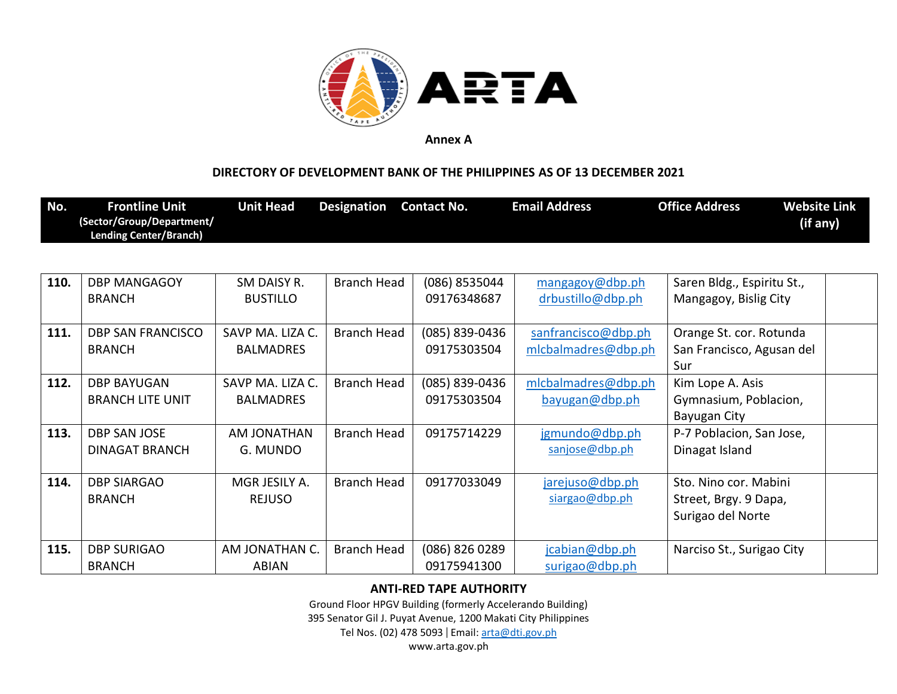

### **DIRECTORY OF DEVELOPMENT BANK OF THE PHILIPPINES AS OF 13 DECEMBER 2021**

| No.  | <b>Frontline Unit</b><br>(Sector/Group/Department/<br><b>Lending Center/Branch)</b> | <b>Unit Head</b>   | <b>Designation</b> | <b>Contact No.</b> | <b>Email Address</b> | <b>Office Address</b>      | <b>Website Link</b><br>(if any) |
|------|-------------------------------------------------------------------------------------|--------------------|--------------------|--------------------|----------------------|----------------------------|---------------------------------|
|      |                                                                                     |                    |                    |                    |                      |                            |                                 |
| 110. | <b>DBP MANGAGOY</b>                                                                 | SM DAISY R.        | <b>Branch Head</b> | (086) 8535044      | mangagoy@dbp.ph      | Saren Bldg., Espiritu St., |                                 |
|      | <b>BRANCH</b>                                                                       | <b>BUSTILLO</b>    |                    | 09176348687        | drbustillo@dbp.ph    | Mangagoy, Bislig City      |                                 |
| 111. | <b>DBP SAN FRANCISCO</b>                                                            | SAVP MA. LIZA C.   | Branch Head        | (085) 839-0436     | sanfrancisco@dbp.ph  | Orange St. cor. Rotunda    |                                 |
|      | <b>BRANCH</b>                                                                       | <b>BALMADRES</b>   |                    | 09175303504        | mlcbalmadres@dbp.ph  | San Francisco, Agusan del  |                                 |
|      |                                                                                     |                    |                    |                    |                      | Sur                        |                                 |
| 112. | <b>DBP BAYUGAN</b>                                                                  | SAVP MA. LIZA C.   | <b>Branch Head</b> | (085) 839-0436     | mlcbalmadres@dbp.ph  | Kim Lope A. Asis           |                                 |
|      | <b>BRANCH LITE UNIT</b>                                                             | <b>BALMADRES</b>   |                    | 09175303504        | bayugan@dbp.ph       | Gymnasium, Poblacion,      |                                 |
|      |                                                                                     |                    |                    |                    |                      | Bayugan City               |                                 |
| 113. | <b>DBP SAN JOSE</b>                                                                 | <b>AM JONATHAN</b> | Branch Head        | 09175714229        | jgmundo@dbp.ph       | P-7 Poblacion, San Jose,   |                                 |
|      | <b>DINAGAT BRANCH</b>                                                               | G. MUNDO           |                    |                    | sanjose@dbp.ph       | Dinagat Island             |                                 |
| 114. | <b>DBP SIARGAO</b>                                                                  | MGR JESILY A.      | <b>Branch Head</b> | 09177033049        | jarejuso@dbp.ph      | Sto. Nino cor. Mabini      |                                 |
|      | <b>BRANCH</b>                                                                       | <b>REJUSO</b>      |                    |                    | siargao@dbp.ph       | Street, Brgy. 9 Dapa,      |                                 |
|      |                                                                                     |                    |                    |                    |                      | Surigao del Norte          |                                 |
| 115. | <b>DBP SURIGAO</b>                                                                  | AM JONATHAN C.     | <b>Branch Head</b> | (086) 826 0289     | jcabian@dbp.ph       |                            |                                 |
|      | <b>BRANCH</b>                                                                       | <b>ABIAN</b>       |                    | 09175941300        |                      | Narciso St., Surigao City  |                                 |
|      |                                                                                     |                    |                    |                    | surigao@dbp.ph       |                            |                                 |

### **ANTI-RED TAPE AUTHORITY**

Ground Floor HPGV Building (formerly Accelerando Building)

395 Senator Gil J. Puyat Avenue, 1200 Makati City Philippines

Tel Nos. (02) 478 5093 | Email: [arta@dti.gov.ph](mailto:arta@dti.gov.ph)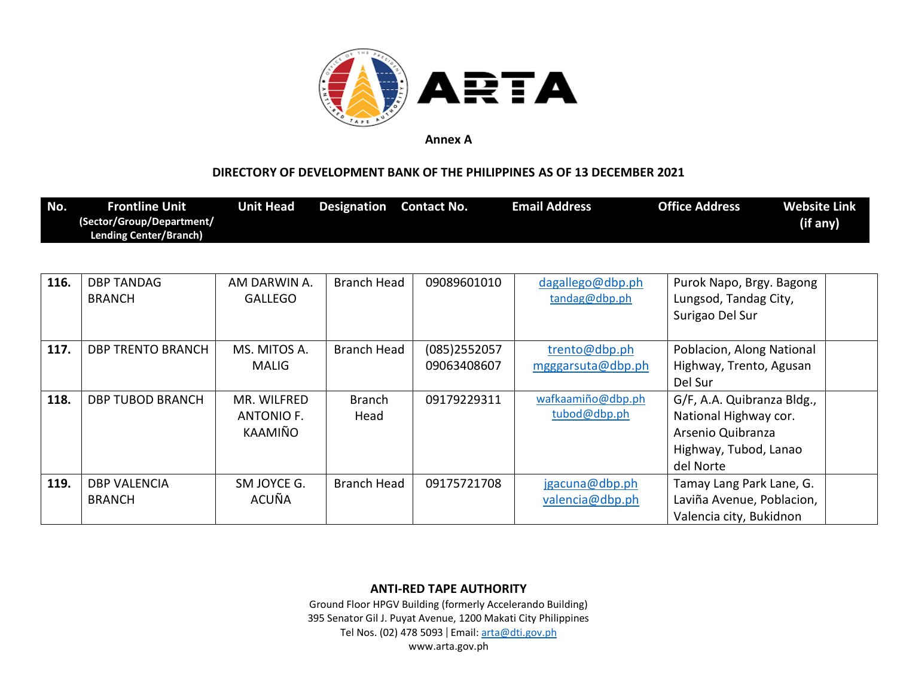

### **DIRECTORY OF DEVELOPMENT BANK OF THE PHILIPPINES AS OF 13 DECEMBER 2021**

| No.  | <b>Frontline Unit</b><br>(Sector/Group/Department/<br><b>Lending Center/Branch)</b> | <b>Unit Head</b>                     | <b>Designation</b>    | <b>Contact No.</b>             | <b>Email Address</b>               | <b>Office Address</b><br>(if any)                                                                              | <b>Website Link</b> |
|------|-------------------------------------------------------------------------------------|--------------------------------------|-----------------------|--------------------------------|------------------------------------|----------------------------------------------------------------------------------------------------------------|---------------------|
|      |                                                                                     |                                      |                       |                                |                                    |                                                                                                                |                     |
| 116. | <b>DBP TANDAG</b><br><b>BRANCH</b>                                                  | AM DARWIN A.<br><b>GALLEGO</b>       | <b>Branch Head</b>    | 09089601010                    | dagallego@dbp.ph<br>tandag@dbp.ph  | Purok Napo, Brgy. Bagong<br>Lungsod, Tandag City,<br>Surigao Del Sur                                           |                     |
| 117. | <b>DBP TRENTO BRANCH</b>                                                            | MS. MITOS A.<br><b>MALIG</b>         | Branch Head           | $(085)$ 2552057<br>09063408607 | trento@dbp.ph<br>mgggarsuta@dbp.ph | Poblacion, Along National<br>Highway, Trento, Agusan<br>Del Sur                                                |                     |
| 118. | <b>DBP TUBOD BRANCH</b>                                                             | MR. WILFRED<br>ANTONIO F.<br>KAAMIÑO | <b>Branch</b><br>Head | 09179229311                    | wafkaamiño@dbp.ph<br>tubod@dbp.ph  | G/F, A.A. Quibranza Bldg.,<br>National Highway cor.<br>Arsenio Quibranza<br>Highway, Tubod, Lanao<br>del Norte |                     |
| 119. | <b>DBP VALENCIA</b><br><b>BRANCH</b>                                                | SM JOYCE G.<br>ACUÑA                 | Branch Head           | 09175721708                    | jgacuna@dbp.ph<br>valencia@dbp.ph  | Tamay Lang Park Lane, G.<br>Laviña Avenue, Poblacion,<br>Valencia city, Bukidnon                               |                     |

**ANTI-RED TAPE AUTHORITY**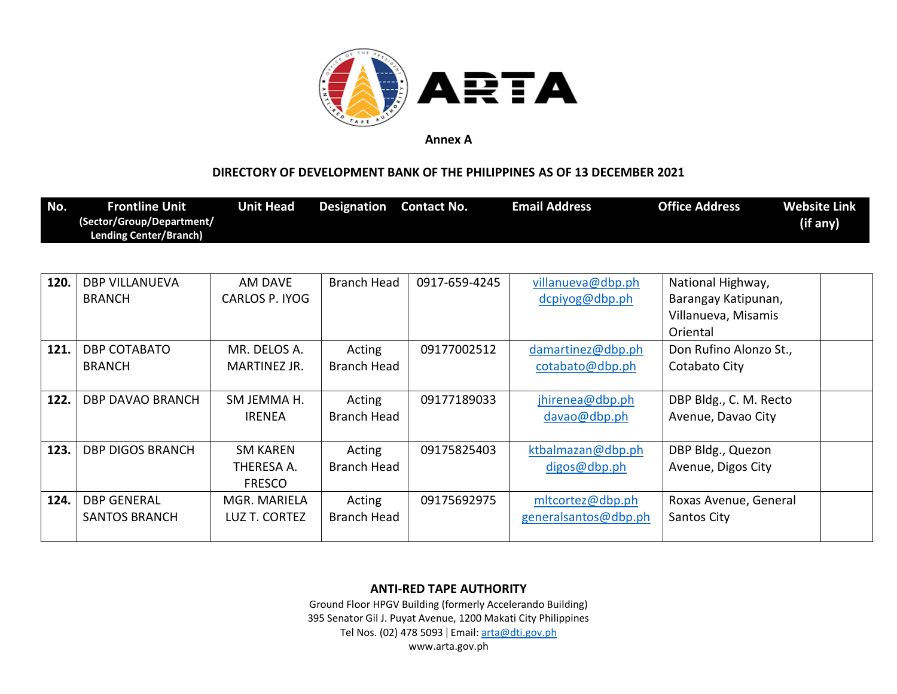

### **DIRECTORY OF DEVELOPMENT BANK OF THE PHILIPPINES AS OF 13 DECEMBER 2021**

| No.              | <b>Frontline Unit</b><br>(Sector/Group/Department/<br>Lending Center/Branch) | <b>Unit Head</b> | <b>Designation</b> | <b>Contact No.</b>   | <b>Email Address</b> | <b>Office Address</b> | <b>Website Link</b><br>(if any) |
|------------------|------------------------------------------------------------------------------|------------------|--------------------|----------------------|----------------------|-----------------------|---------------------------------|
|                  |                                                                              |                  |                    |                      |                      |                       |                                 |
| 120 <sup>-</sup> | <b>DDD VIII ANIIEVA</b>                                                      |                  | Dranch Hoad I      | <b>OO17 CEO 131E</b> | willanuova@dhn.nh    | Notional Highway      |                                 |

| 120. | <b>DBP VILLANUEVA</b>   | AM DAVE        | Branch Head | 0917-659-4245 | villanueva@dbp.ph    | National Highway,      |  |
|------|-------------------------|----------------|-------------|---------------|----------------------|------------------------|--|
|      | <b>BRANCH</b>           | CARLOS P. IYOG |             |               | dcpiyog@dbp.ph       | Barangay Katipunan,    |  |
|      |                         |                |             |               |                      | Villanueva, Misamis    |  |
|      |                         |                |             |               |                      | Oriental               |  |
| 121. | <b>DBP COTABATO</b>     | MR. DELOS A.   | Acting      | 09177002512   | damartinez@dbp.ph    | Don Rufino Alonzo St., |  |
|      | <b>BRANCH</b>           | MARTINEZ JR.   | Branch Head |               | cotabato@dbp.ph      | Cotabato City          |  |
|      |                         |                |             |               |                      |                        |  |
| 122. | DBP DAVAO BRANCH        | SM JEMMA H.    | Acting      | 09177189033   | jhirenea@dbp.ph      | DBP Bldg., C. M. Recto |  |
|      |                         | <b>IRENEA</b>  | Branch Head |               | davao@dbp.php        | Avenue, Davao City     |  |
|      |                         |                |             |               |                      |                        |  |
| 123. | <b>DBP DIGOS BRANCH</b> | SM KAREN       | Acting      | 09175825403   | ktbalmazan@dbp.ph    | DBP Bldg., Quezon      |  |
|      |                         | THERESA A.     | Branch Head |               | digos@dbp.ph         | Avenue, Digos City     |  |
|      |                         | <b>FRESCO</b>  |             |               |                      |                        |  |
| 124. | <b>DBP GENERAL</b>      | MGR. MARIELA   | Acting      | 09175692975   | mltcortez@dbp.ph     | Roxas Avenue, General  |  |
|      | <b>SANTOS BRANCH</b>    | LUZ T. CORTEZ  | Branch Head |               | generalsantos@dbp.ph | Santos City            |  |
|      |                         |                |             |               |                      |                        |  |

**ANTI-RED TAPE AUTHORITY**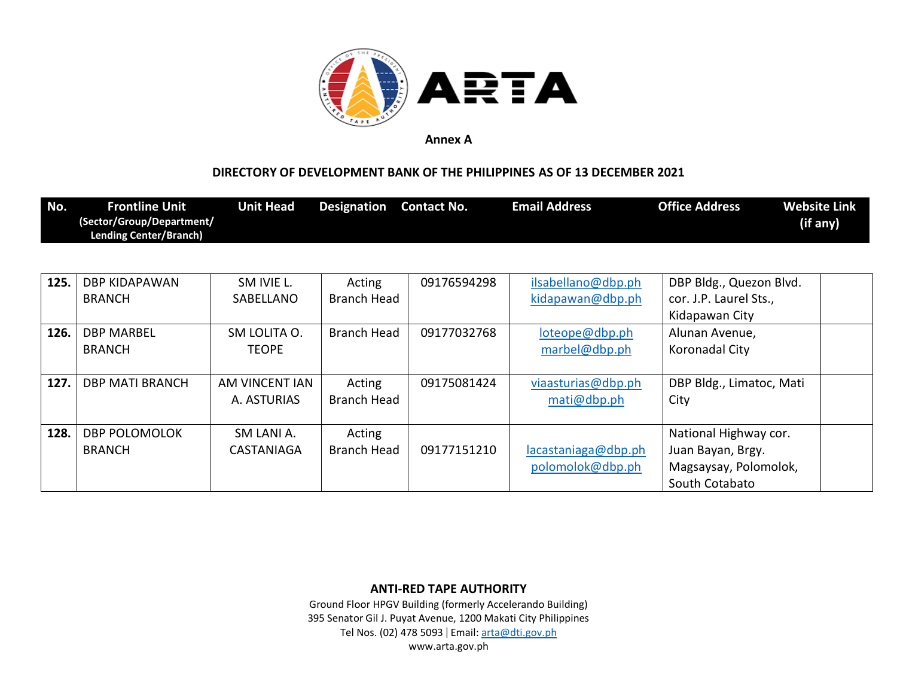

## **DIRECTORY OF DEVELOPMENT BANK OF THE PHILIPPINES AS OF 13 DECEMBER 2021**

| No.  | <b>Frontline Unit</b><br>(Sector/Group/Department/<br><b>Lending Center/Branch)</b> | <b>Unit Head</b> | <b>Designation</b> | <b>Contact No.</b> | <b>Email Address</b> | <b>Office Address</b>    | <b>Website Link</b><br>(if any) |
|------|-------------------------------------------------------------------------------------|------------------|--------------------|--------------------|----------------------|--------------------------|---------------------------------|
|      |                                                                                     |                  |                    |                    |                      |                          |                                 |
| 125. | DBP KIDAPAWAN                                                                       | SM IVIE L.       | Acting             | 09176594298        | ilsabellano@dbp.ph   | DBP Bldg., Quezon Blvd.  |                                 |
|      | <b>BRANCH</b>                                                                       | SABELLANO        | <b>Branch Head</b> |                    | kidapawan@dbp.ph     | cor. J.P. Laurel Sts.,   |                                 |
|      |                                                                                     |                  |                    |                    |                      | Kidapawan City           |                                 |
| 126. | <b>DBP MARBEL</b>                                                                   | SM LOLITA O.     | <b>Branch Head</b> | 09177032768        | loteope@dbp.ph       | Alunan Avenue,           |                                 |
|      | <b>BRANCH</b>                                                                       | <b>TEOPE</b>     |                    |                    | marbel@dbp.ph        | Koronadal City           |                                 |
|      |                                                                                     |                  |                    |                    |                      |                          |                                 |
| 127. | <b>DBP MATI BRANCH</b>                                                              | AM VINCENT IAN   | Acting             | 09175081424        | viaasturias@dbp.ph   | DBP Bldg., Limatoc, Mati |                                 |
|      |                                                                                     | A. ASTURIAS      | Branch Head        |                    | mati@dbp.ph          | City                     |                                 |
|      |                                                                                     |                  |                    |                    |                      |                          |                                 |
| 128. | <b>DBP POLOMOLOK</b>                                                                | SM LANI A.       | Acting             |                    |                      | National Highway cor.    |                                 |
|      | <b>BRANCH</b>                                                                       | CASTANIAGA       | Branch Head        | 09177151210        | lacastaniaga@dbp.ph  | Juan Bayan, Brgy.        |                                 |
|      |                                                                                     |                  |                    |                    | polomolok@dbp.ph     | Magsaysay, Polomolok,    |                                 |
|      |                                                                                     |                  |                    |                    |                      | South Cotabato           |                                 |

**ANTI-RED TAPE AUTHORITY**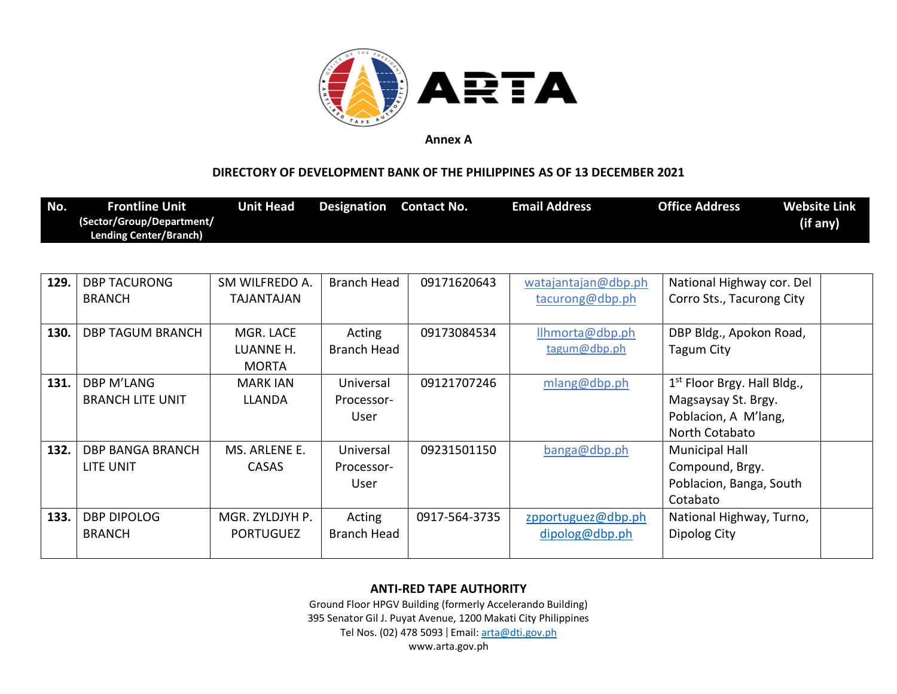

### **DIRECTORY OF DEVELOPMENT BANK OF THE PHILIPPINES AS OF 13 DECEMBER 2021**

| No.  | <b>Frontline Unit</b><br>(Sector/Group/Department/<br><b>Lending Center/Branch)</b> | <b>Unit Head</b>                       | <b>Designation</b>              | <b>Contact No.</b> | <b>Email Address</b>                   | <b>Office Address</b>                                                                          | <b>Website Link</b><br>(if any) |
|------|-------------------------------------------------------------------------------------|----------------------------------------|---------------------------------|--------------------|----------------------------------------|------------------------------------------------------------------------------------------------|---------------------------------|
|      |                                                                                     |                                        |                                 |                    |                                        |                                                                                                |                                 |
| 129. | <b>DBP TACURONG</b><br><b>BRANCH</b>                                                | SM WILFREDO A.<br>TAJANTAJAN           | <b>Branch Head</b>              | 09171620643        | watajantajan@dbp.ph<br>tacurong@dbp.ph | National Highway cor. Del<br>Corro Sts., Tacurong City                                         |                                 |
| 130. | <b>DBP TAGUM BRANCH</b>                                                             | MGR. LACE<br>LUANNE H.<br><b>MORTA</b> | Acting<br><b>Branch Head</b>    | 09173084534        | llhmorta@dbp.ph<br>tagum@dbp.ph        | DBP Bldg., Apokon Road,<br>Tagum City                                                          |                                 |
| 131. | DBP M'LANG<br><b>BRANCH LITE UNIT</b>                                               | <b>MARK IAN</b><br><b>LLANDA</b>       | Universal<br>Processor-<br>User | 09121707246        | mlang@dbp.ph                           | $1st$ Floor Brgy. Hall Bldg.,<br>Magsaysay St. Brgy.<br>Poblacion, A M'lang,<br>North Cotabato |                                 |
| 132. | <b>DBP BANGA BRANCH</b><br>LITE UNIT                                                | MS. ARLENE E.<br><b>CASAS</b>          | Universal<br>Processor-<br>User | 09231501150        | banga@dbp.ph                           | <b>Municipal Hall</b><br>Compound, Brgy.<br>Poblacion, Banga, South<br>Cotabato                |                                 |
| 133. | <b>DBP DIPOLOG</b><br><b>BRANCH</b>                                                 | MGR. ZYLDJYH P.<br><b>PORTUGUEZ</b>    | Acting<br><b>Branch Head</b>    | 0917-564-3735      | zpportuguez@dbp.ph<br>dipolog@dbp.ph   | National Highway, Turno,<br>Dipolog City                                                       |                                 |

### **ANTI-RED TAPE AUTHORITY**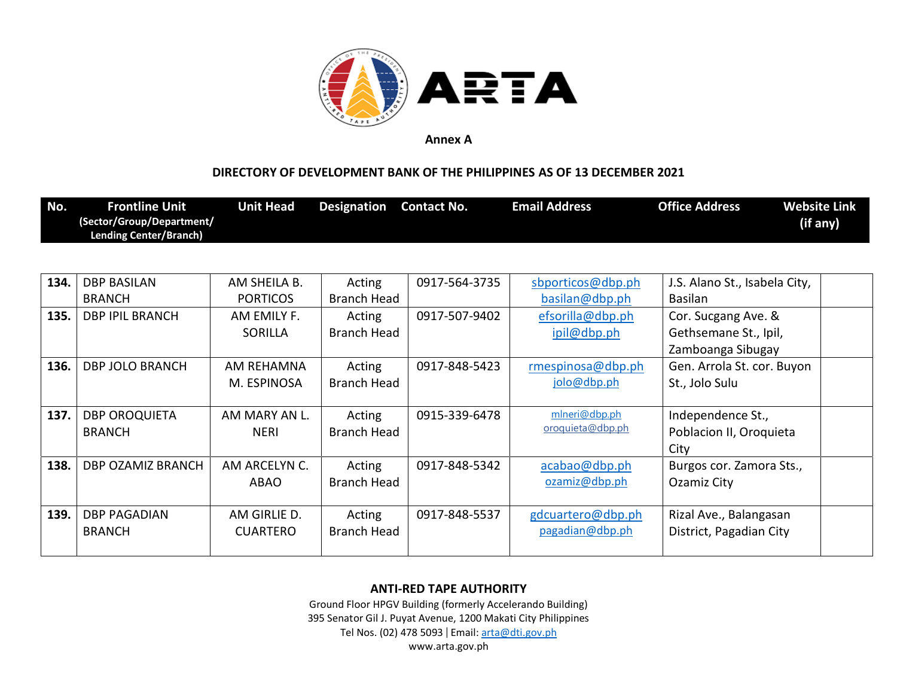

### **DIRECTORY OF DEVELOPMENT BANK OF THE PHILIPPINES AS OF 13 DECEMBER 2021**

| No. | <b>Frontline Unit</b>     | Unit Head | Designation | Contact No. | <b>Email Address</b> | <b>Office Address</b> | <b>Website Link</b> |
|-----|---------------------------|-----------|-------------|-------------|----------------------|-----------------------|---------------------|
|     | (Sector/Group/Department/ |           |             |             |                      |                       | (if any)            |
|     | Lending Center/Branch)    |           |             |             |                      |                       |                     |

| 134. | <b>DBP BASILAN</b>       | AM SHEILA B.    | Acting      | 0917-564-3735 | sbporticos@dbp.ph | J.S. Alano St., Isabela City, |  |
|------|--------------------------|-----------------|-------------|---------------|-------------------|-------------------------------|--|
|      | <b>BRANCH</b>            | <b>PORTICOS</b> | Branch Head |               | basilan@dbp.ph    | Basilan                       |  |
| 135. | <b>DBP IPIL BRANCH</b>   | AM EMILY F.     | Acting      | 0917-507-9402 | efsorilla@dbp.ph  | Cor. Sucgang Ave. &           |  |
|      |                          | <b>SORILLA</b>  | Branch Head |               | ipil@dbp.ph       | Gethsemane St., Ipil,         |  |
|      |                          |                 |             |               |                   | Zamboanga Sibugay             |  |
| 136. | <b>DBP JOLO BRANCH</b>   | AM REHAMNA      | Acting      | 0917-848-5423 | rmespinosa@dbp.ph | Gen. Arrola St. cor. Buyon    |  |
|      |                          | M. ESPINOSA     | Branch Head |               | jolo@dbp.ph       | St., Jolo Sulu                |  |
|      |                          |                 |             |               |                   |                               |  |
| 137. | <b>DBP OROQUIETA</b>     | AM MARY AN L.   | Acting      | 0915-339-6478 | mlneri@dbp.ph     | Independence St.,             |  |
|      | <b>BRANCH</b>            | <b>NERI</b>     | Branch Head |               | oroquieta@dbp.ph  | Poblacion II, Oroquieta       |  |
|      |                          |                 |             |               |                   | City                          |  |
| 138. | <b>DBP OZAMIZ BRANCH</b> | AM ARCELYN C.   | Acting      | 0917-848-5342 | acabao@dbp.ph     | Burgos cor. Zamora Sts.,      |  |
|      |                          | <b>ABAO</b>     | Branch Head |               | ozamiz@dbp.ph     | Ozamiz City                   |  |
|      |                          |                 |             |               |                   |                               |  |
| 139. | <b>DBP PAGADIAN</b>      | AM GIRLIE D.    | Acting      | 0917-848-5537 | gdcuartero@dbp.ph | Rizal Ave., Balangasan        |  |
|      | <b>BRANCH</b>            | <b>CUARTERO</b> | Branch Head |               | pagadian@dbp.ph   | District, Pagadian City       |  |
|      |                          |                 |             |               |                   |                               |  |

### **ANTI-RED TAPE AUTHORITY**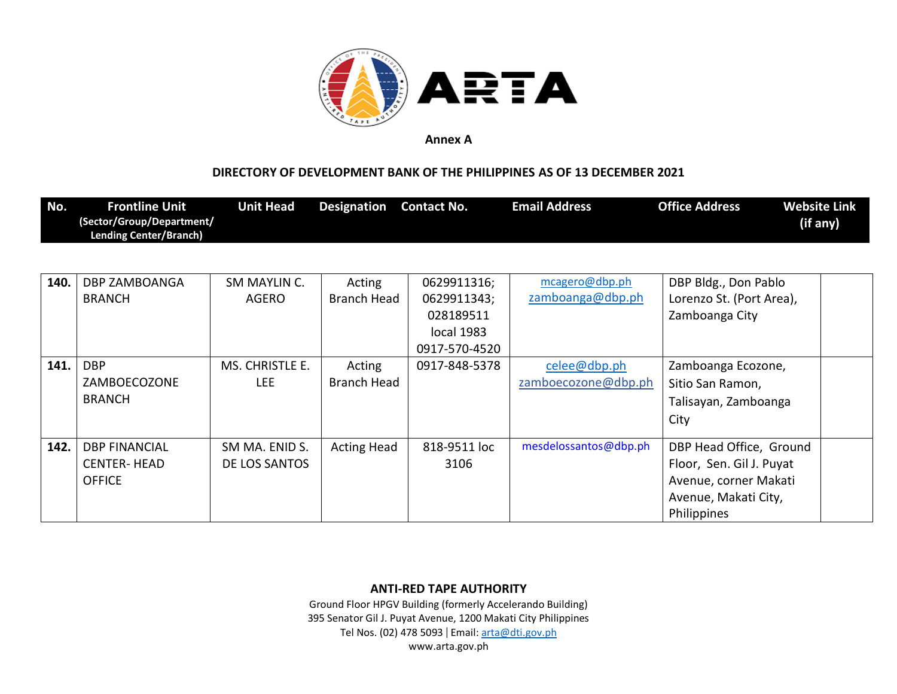

## **DIRECTORY OF DEVELOPMENT BANK OF THE PHILIPPINES AS OF 13 DECEMBER 2021**

| No.  | <b>Frontline Unit</b><br>(Sector/Group/Department/<br><b>Lending Center/Branch)</b> | <b>Unit Head</b> | <b>Designation</b> | <b>Contact No.</b> | <b>Email Address</b>  | <b>Office Address</b>    | <b>Website Link</b><br>(if any) |
|------|-------------------------------------------------------------------------------------|------------------|--------------------|--------------------|-----------------------|--------------------------|---------------------------------|
|      |                                                                                     |                  |                    |                    |                       |                          |                                 |
| 140. | <b>DBP ZAMBOANGA</b>                                                                | SM MAYLIN C.     | Acting             | 0629911316;        | mcagero@dbp.ph        | DBP Bldg., Don Pablo     |                                 |
|      | <b>BRANCH</b>                                                                       | AGERO            | Branch Head        | 0629911343;        | zamboanga@dbp.ph      | Lorenzo St. (Port Area), |                                 |
|      |                                                                                     |                  |                    | 028189511          |                       | Zamboanga City           |                                 |
|      |                                                                                     |                  |                    | local 1983         |                       |                          |                                 |
|      |                                                                                     |                  |                    | 0917-570-4520      |                       |                          |                                 |
| 141. | <b>DBP</b>                                                                          | MS. CHRISTLE E.  | Acting             | 0917-848-5378      | celee@dbp.ph          | Zamboanga Ecozone,       |                                 |
|      | ZAMBOECOZONE                                                                        | <b>LEE</b>       | <b>Branch Head</b> |                    | zamboecozone@dbp.ph   | Sitio San Ramon,         |                                 |
|      | <b>BRANCH</b>                                                                       |                  |                    |                    |                       | Talisayan, Zamboanga     |                                 |
|      |                                                                                     |                  |                    |                    |                       | City                     |                                 |
| 142. | <b>DBP FINANCIAL</b>                                                                | SM MA. ENID S.   | <b>Acting Head</b> | 818-9511 loc       | mesdelossantos@dbp.ph | DBP Head Office, Ground  |                                 |
|      | <b>CENTER-HEAD</b>                                                                  | DE LOS SANTOS    |                    | 3106               |                       | Floor, Sen. Gil J. Puyat |                                 |
|      | <b>OFFICE</b>                                                                       |                  |                    |                    |                       | Avenue, corner Makati    |                                 |
|      |                                                                                     |                  |                    |                    |                       | Avenue, Makati City,     |                                 |
|      |                                                                                     |                  |                    |                    |                       | Philippines              |                                 |

**ANTI-RED TAPE AUTHORITY**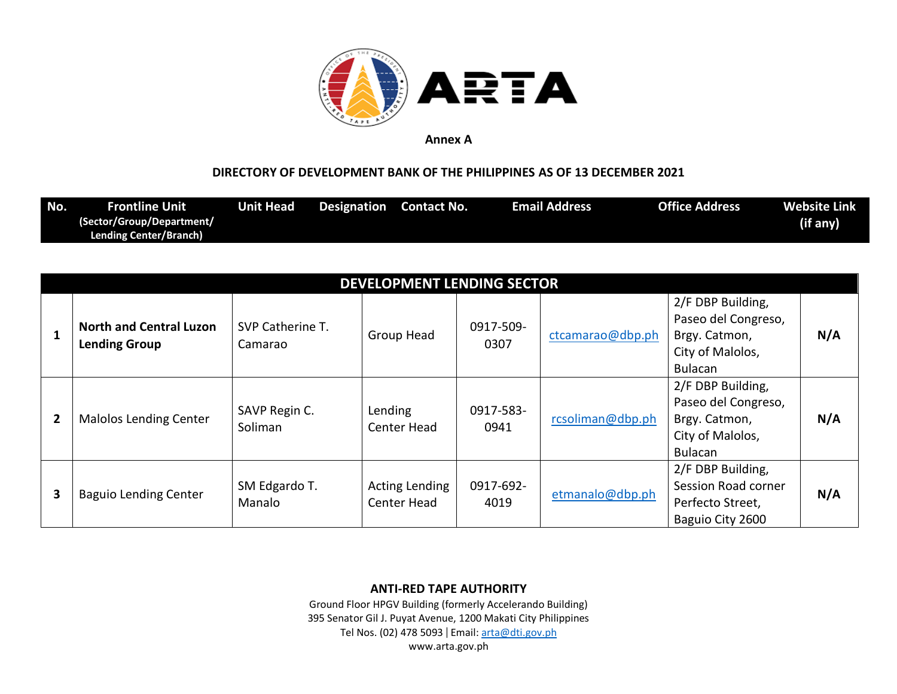

### **DIRECTORY OF DEVELOPMENT BANK OF THE PHILIPPINES AS OF 13 DECEMBER 2021**

| No. | Frontline Unit                | Unit Head | <b>Designation</b> Contact No. | <b>Email Address</b> | Office Address | <b>Website Link</b> |
|-----|-------------------------------|-----------|--------------------------------|----------------------|----------------|---------------------|
|     | (Sector/Group/Department/     |           |                                |                      |                | (if any)            |
|     | <b>Lending Center/Branch)</b> |           |                                |                      |                |                     |

|                | DEVELOPMENT LENDING SECTOR                             |                             |                                      |                   |                  |                                                                                                 |     |  |  |  |
|----------------|--------------------------------------------------------|-----------------------------|--------------------------------------|-------------------|------------------|-------------------------------------------------------------------------------------------------|-----|--|--|--|
|                | <b>North and Central Luzon</b><br><b>Lending Group</b> | SVP Catherine T.<br>Camarao | Group Head                           | 0917-509-<br>0307 | ctcamarao@dbp.ph | 2/F DBP Building,<br>Paseo del Congreso,<br>Brgy. Catmon,<br>City of Malolos,<br><b>Bulacan</b> | N/A |  |  |  |
| $\overline{2}$ | <b>Malolos Lending Center</b>                          | SAVP Regin C.<br>Soliman    | Lending<br>Center Head               | 0917-583-<br>0941 | rcsoliman@dbp.ph | 2/F DBP Building,<br>Paseo del Congreso,<br>Brgy. Catmon,<br>City of Malolos,<br><b>Bulacan</b> | N/A |  |  |  |
| 3              | <b>Baguio Lending Center</b>                           | SM Edgardo T.<br>Manalo     | <b>Acting Lending</b><br>Center Head | 0917-692-<br>4019 | etmanalo@dbp.ph  | 2/F DBP Building,<br>Session Road corner<br>Perfecto Street,<br>Baguio City 2600                | N/A |  |  |  |

### **ANTI-RED TAPE AUTHORITY**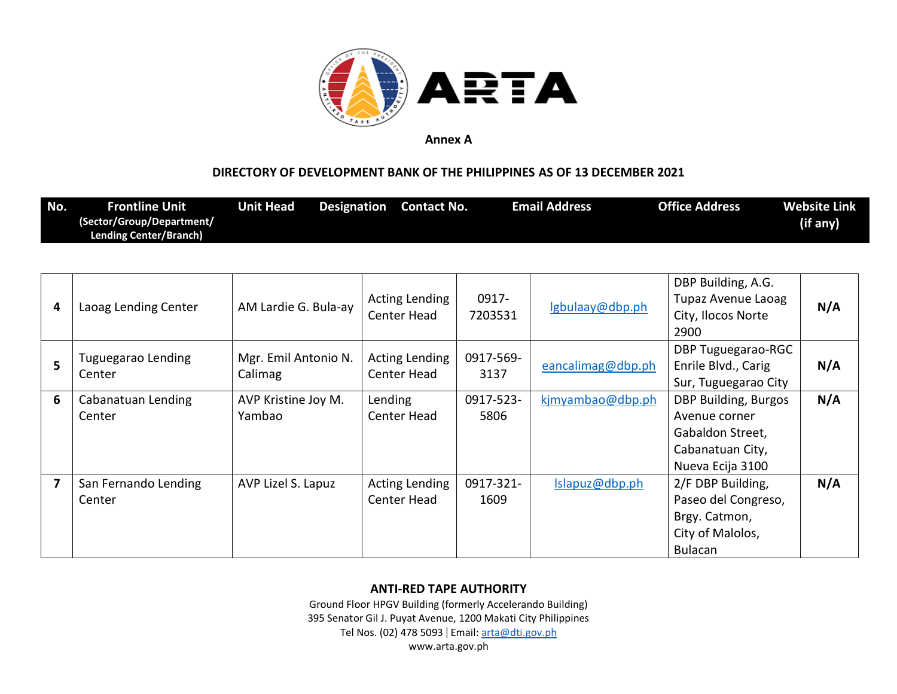

## **DIRECTORY OF DEVELOPMENT BANK OF THE PHILIPPINES AS OF 13 DECEMBER 2021**

| No. | <b>Frontline Unit</b><br>(Sector/Group/Department/<br><b>Lending Center/Branch)</b> | <b>Unit Head</b> | <b>Designation</b> Contact No. |                |                   | <b>Email Address</b> | <b>Office Address</b>                    | <b>Website Link</b><br>(if any) |
|-----|-------------------------------------------------------------------------------------|------------------|--------------------------------|----------------|-------------------|----------------------|------------------------------------------|---------------------------------|
|     |                                                                                     |                  |                                |                |                   |                      |                                          |                                 |
|     |                                                                                     |                  |                                | Acting Londing | 0917 <sub>-</sub> |                      | DBP Building, A.G.<br>Dunaz Avenua Lanag |                                 |

| 4 | Laoag Lending Center         | AM Lardie G. Bula-ay | Acting Lending | 0917-     | lgbulaay@dbp.ph   | <b>Tupaz Avenue Laoag</b> | N/A |
|---|------------------------------|----------------------|----------------|-----------|-------------------|---------------------------|-----|
|   |                              |                      | Center Head    | 7203531   |                   | City, Ilocos Norte        |     |
|   |                              |                      |                |           |                   | 2900                      |     |
|   |                              | Mgr. Emil Antonio N. | Acting Lending | 0917-569- |                   | <b>DBP Tuguegarao-RGC</b> |     |
| 5 | Tuguegarao Lending<br>Center | Calimag              | Center Head    | 3137      | eancalimag@dbp.ph | Enrile Blvd., Carig       | N/A |
|   |                              |                      |                |           |                   | Sur, Tuguegarao City      |     |
| 6 | Cabanatuan Lending           | AVP Kristine Joy M.  | Lending        | 0917-523- | kjmyambao@dbp.ph  | DBP Building, Burgos      | N/A |
|   | Center                       | Yambao               | Center Head    | 5806      |                   | Avenue corner             |     |
|   |                              |                      |                |           |                   | Gabaldon Street,          |     |
|   |                              |                      |                |           |                   | Cabanatuan City,          |     |
|   |                              |                      |                |           |                   | Nueva Ecija 3100          |     |
| 7 | San Fernando Lending         | AVP Lizel S. Lapuz   | Acting Lending | 0917-321- | Islapuz@dbp.ph    | 2/F DBP Building,         | N/A |
|   | Center                       |                      | Center Head    | 1609      |                   | Paseo del Congreso,       |     |
|   |                              |                      |                |           |                   | Brgy. Catmon,             |     |
|   |                              |                      |                |           |                   | City of Malolos,          |     |
|   |                              |                      |                |           |                   | <b>Bulacan</b>            |     |

### **ANTI-RED TAPE AUTHORITY**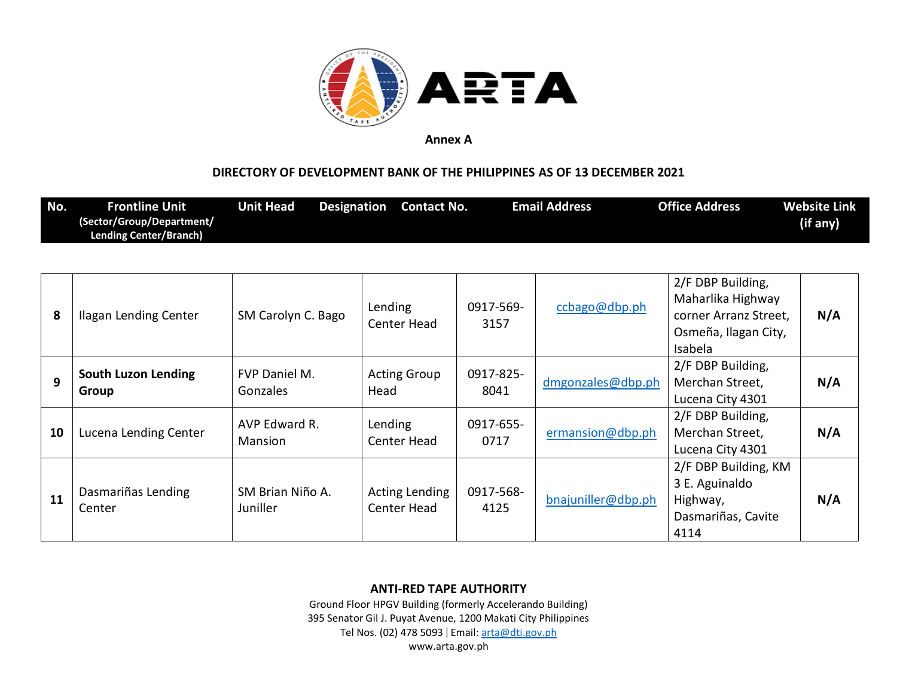

## **DIRECTORY OF DEVELOPMENT BANK OF THE PHILIPPINES AS OF 13 DECEMBER 2021**

| No. | <b>Frontline Unit</b><br>(Sector/Group/Department/<br><b>Lending Center/Branch)</b> | <b>Unit Head</b><br>Designation | <b>Contact No.</b>            |                   | <b>Email Address</b> | <b>Office Address</b>                                                                              | <b>Website Link</b><br>(if any) |
|-----|-------------------------------------------------------------------------------------|---------------------------------|-------------------------------|-------------------|----------------------|----------------------------------------------------------------------------------------------------|---------------------------------|
| 8   | Ilagan Lending Center                                                               | SM Carolyn C. Bago              | Lending<br>Center Head        | 0917-569-<br>3157 | ccbago@dbp.ph        | 2/F DBP Building,<br>Maharlika Highway<br>corner Arranz Street,<br>Osmeña, Ilagan City,<br>Isabela | N/A                             |
| 9   | <b>South Luzon Lending</b><br>Group                                                 | FVP Daniel M.<br>Gonzales       | <b>Acting Group</b><br>Head   | 0917-825-<br>8041 | dmgonzales@dbp.ph    | 2/F DBP Building,<br>Merchan Street,<br>Lucena City 4301                                           | N/A                             |
| 10  | Lucena Lending Center                                                               | AVP Edward R.<br>Mansion        | Lending<br>Center Head        | 0917-655-<br>0717 | ermansion@dbp.ph     | 2/F DBP Building,<br>Merchan Street,<br>Lucena City 4301                                           | N/A                             |
| 11  | Dasmariñas Lending<br>Center                                                        | SM Brian Niño A.<br>Juniller    | Acting Lending<br>Center Head | 0917-568-<br>4125 | bnajuniller@dbp.ph   | 2/F DBP Building, KM<br>3 E. Aguinaldo<br>Highway,<br>Dasmariñas, Cavite<br>4114                   | N/A                             |

### **ANTI-RED TAPE AUTHORITY**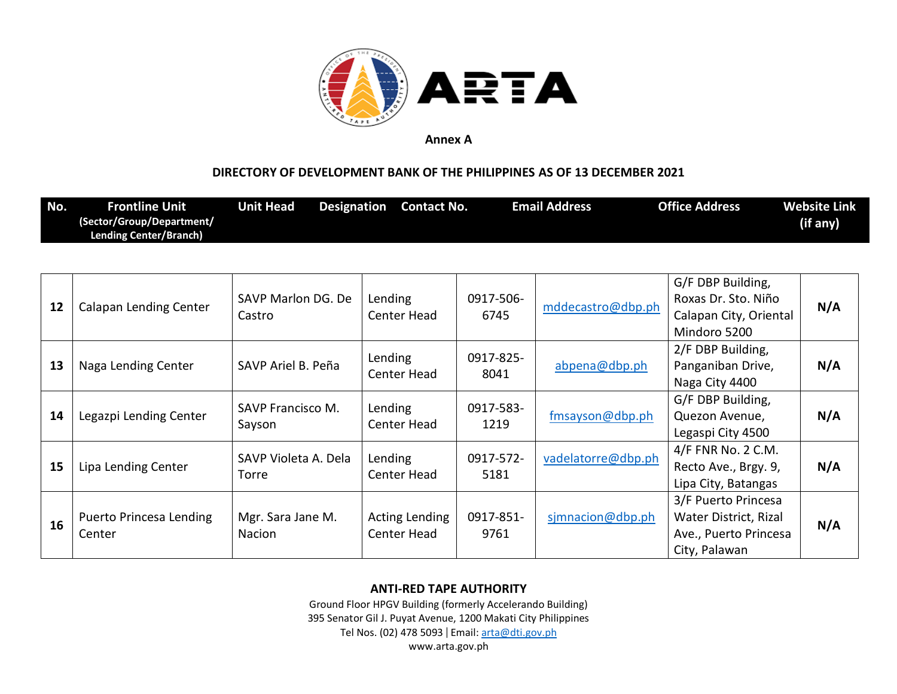

## **DIRECTORY OF DEVELOPMENT BANK OF THE PHILIPPINES AS OF 13 DECEMBER 2021**

| No. | Frontline Unit <b>\</b>       | Unit Head | Designation Contact No. | <b>Email Address</b> | <b>Office Address</b> | Website Link |
|-----|-------------------------------|-----------|-------------------------|----------------------|-----------------------|--------------|
|     | (Sector/Group/Department/     |           |                         |                      |                       | (if any)     |
|     | <b>Lending Center/Branch)</b> |           |                         |                      |                       |              |

| 12 | Calapan Lending Center            | SAVP Marlon DG. De<br>Castro       | Lending<br>Center Head        | 0917-506-<br>6745 | mddecastro@dbp.ph  | G/F DBP Building,<br>Roxas Dr. Sto. Niño<br>Calapan City, Oriental<br>Mindoro 5200     | N/A |
|----|-----------------------------------|------------------------------------|-------------------------------|-------------------|--------------------|----------------------------------------------------------------------------------------|-----|
| 13 | Naga Lending Center               | SAVP Ariel B. Peña                 | Lending<br>Center Head        | 0917-825-<br>8041 | abpena@dbp.ph      | 2/F DBP Building,<br>Panganiban Drive,<br>Naga City 4400                               | N/A |
| 14 | Legazpi Lending Center            | <b>SAVP Francisco M.</b><br>Sayson | Lending<br>Center Head        | 0917-583-<br>1219 | fmsayson@dbp.ph    | G/F DBP Building,<br>Quezon Avenue,<br>Legaspi City 4500                               | N/A |
| 15 | Lipa Lending Center               | SAVP Violeta A. Dela<br>Torre      | Lending<br>Center Head        | 0917-572-<br>5181 | vadelatorre@dbp.ph | 4/F FNR No. 2 C.M.<br>Recto Ave., Brgy. 9,<br>Lipa City, Batangas                      | N/A |
| 16 | Puerto Princesa Lending<br>Center | Mgr. Sara Jane M.<br><b>Nacion</b> | Acting Lending<br>Center Head | 0917-851-<br>9761 | simnacion@dbp.ph   | 3/F Puerto Princesa<br>Water District, Rizal<br>Ave., Puerto Princesa<br>City, Palawan | N/A |

### **ANTI-RED TAPE AUTHORITY**

Ground Floor HPGV Building (formerly Accelerando Building) 395 Senator Gil J. Puyat Avenue, 1200 Makati City Philippines Tel Nos. (02) 478 5093 | Email: [arta@dti.gov.ph](mailto:arta@dti.gov.ph)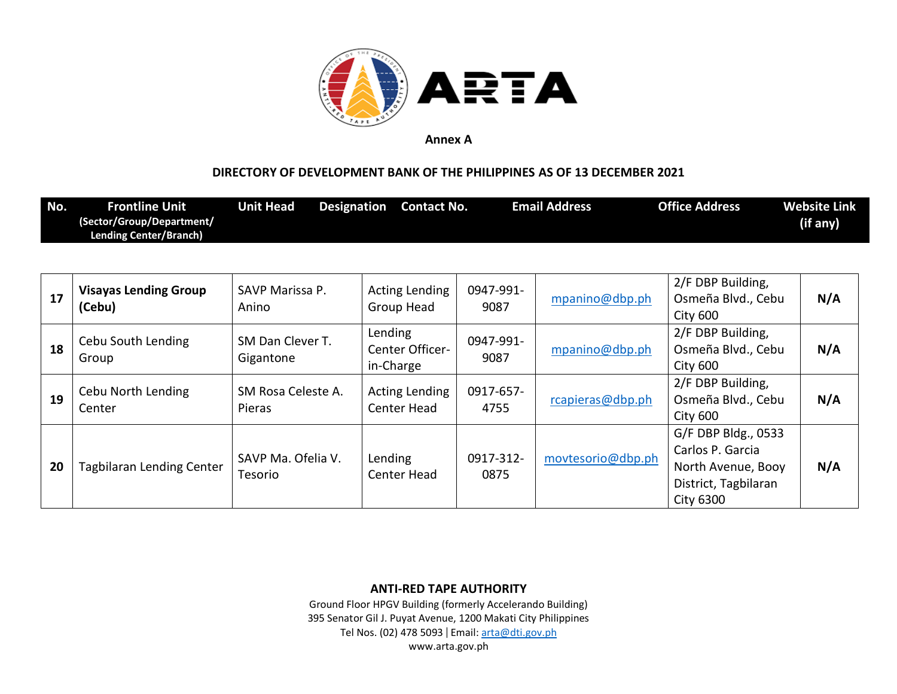

## **DIRECTORY OF DEVELOPMENT BANK OF THE PHILIPPINES AS OF 13 DECEMBER 2021**

| No. | <b>Frontline Unit</b><br>(Sector/Group/Department/<br><b>Lending Center/Branch)</b> | Unit Head | Designation | <b>Contact No.</b> | <b>Email Address</b> | <b>Office Address</b> | <b>Website Link</b><br>(if any) |
|-----|-------------------------------------------------------------------------------------|-----------|-------------|--------------------|----------------------|-----------------------|---------------------------------|
|     |                                                                                     |           |             |                    |                      |                       |                                 |

| 17 | <b>Visayas Lending Group</b><br>(Cebu) | SAVP Marissa P.<br>Anino             | Acting Lending<br>Group Head            | 0947-991-<br>9087 | mpanino@dbp.ph    | 2/F DBP Building,<br>Osmeña Blvd., Cebu<br><b>City 600</b>                                                | N/A |
|----|----------------------------------------|--------------------------------------|-----------------------------------------|-------------------|-------------------|-----------------------------------------------------------------------------------------------------------|-----|
| 18 | Cebu South Lending<br>Group            | SM Dan Clever T.<br>Gigantone        | Lending<br>Center Officer-<br>in-Charge | 0947-991-<br>9087 | mpanino@dbp.ph    | 2/F DBP Building,<br>Osmeña Blvd., Cebu<br><b>City 600</b>                                                | N/A |
| 19 | Cebu North Lending<br>Center           | SM Rosa Celeste A.<br>Pieras         | <b>Acting Lending</b><br>Center Head    | 0917-657-<br>4755 | rcapieras@dbp.ph  | 2/F DBP Building,<br>Osmeña Blvd., Cebu<br><b>City 600</b>                                                | N/A |
| 20 | <b>Tagbilaran Lending Center</b>       | SAVP Ma. Ofelia V.<br><b>Tesorio</b> | Lending<br><b>Center Head</b>           | 0917-312-<br>0875 | movtesorio@dbp.ph | G/F DBP Bldg., 0533<br>Carlos P. Garcia<br>North Avenue, Booy<br>District, Tagbilaran<br><b>City 6300</b> | N/A |

**ANTI-RED TAPE AUTHORITY**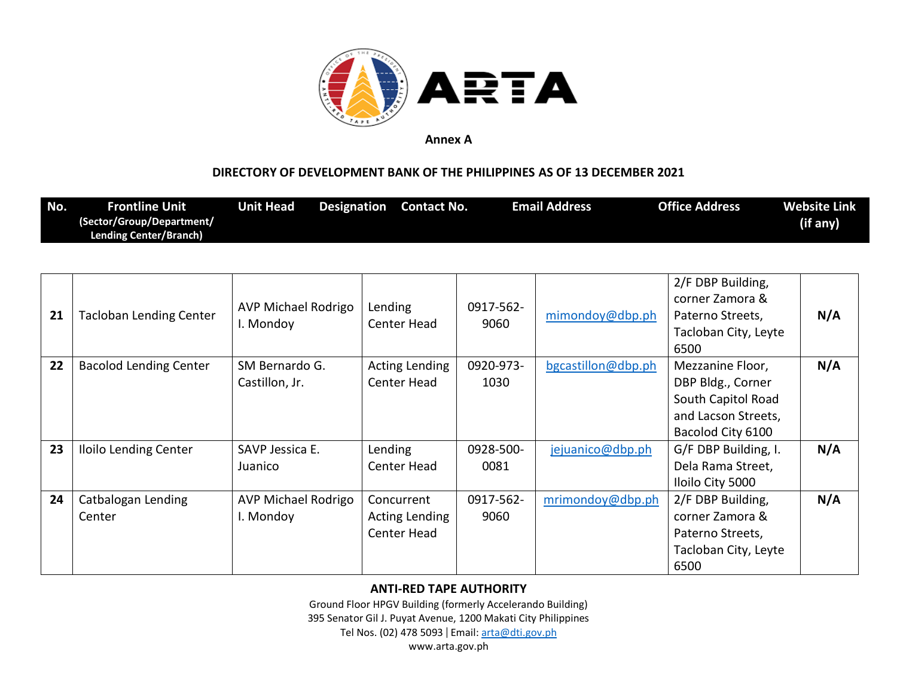

## **DIRECTORY OF DEVELOPMENT BANK OF THE PHILIPPINES AS OF 13 DECEMBER 2021**

| No. | <b>Frontline Unit</b>         | Unit Head | <b>Designation</b> | <b>Contact No.</b> | <b>Email Address</b> | <b>Office Address</b> | <b>Website Link</b> |
|-----|-------------------------------|-----------|--------------------|--------------------|----------------------|-----------------------|---------------------|
|     | (Sector/Group/Department/     |           |                    |                    |                      |                       | (if any)            |
|     | <b>Lending Center/Branch)</b> |           |                    |                    |                      |                       |                     |

| 21 | <b>Tacloban Lending Center</b> | AVP Michael Rodrigo<br>I. Mondoy | Lending<br>Center Head                      | 0917-562-<br>9060 | mimondoy@dbp.ph    | 2/F DBP Building,<br>corner Zamora &<br>Paterno Streets,<br>Tacloban City, Leyte<br>6500                | N/A |
|----|--------------------------------|----------------------------------|---------------------------------------------|-------------------|--------------------|---------------------------------------------------------------------------------------------------------|-----|
| 22 | <b>Bacolod Lending Center</b>  | SM Bernardo G.<br>Castillon, Jr. | <b>Acting Lending</b><br>Center Head        | 0920-973-<br>1030 | bgcastillon@dbp.ph | Mezzanine Floor,<br>DBP Bldg., Corner<br>South Capitol Road<br>and Lacson Streets,<br>Bacolod City 6100 | N/A |
| 23 | <b>Iloilo Lending Center</b>   | SAVP Jessica E.<br>Juanico       | Lending<br>Center Head                      | 0928-500-<br>0081 | jejuanico@dbp.ph   | G/F DBP Building, I.<br>Dela Rama Street,<br>Iloilo City 5000                                           | N/A |
| 24 | Catbalogan Lending<br>Center   | AVP Michael Rodrigo<br>I. Mondoy | Concurrent<br>Acting Lending<br>Center Head | 0917-562-<br>9060 | mrimondoy@dbp.ph   | 2/F DBP Building,<br>corner Zamora &<br>Paterno Streets,<br>Tacloban City, Leyte<br>6500                | N/A |

### **ANTI-RED TAPE AUTHORITY**

Ground Floor HPGV Building (formerly Accelerando Building)

395 Senator Gil J. Puyat Avenue, 1200 Makati City Philippines

Tel Nos. (02) 478 5093 | Email: [arta@dti.gov.ph](mailto:arta@dti.gov.ph)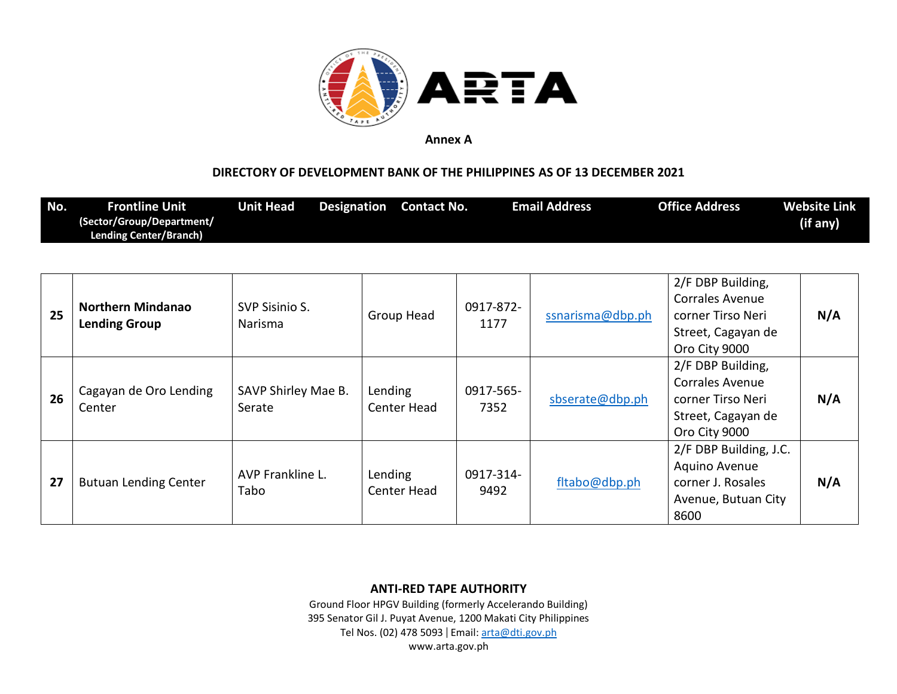

## **DIRECTORY OF DEVELOPMENT BANK OF THE PHILIPPINES AS OF 13 DECEMBER 2021**

| No. | <b>Frontline Unit</b><br>(Sector/Group/Department/<br><b>Lending Center/Branch)</b> | <b>Unit Head</b> | <b>Designation</b> Contact No. | <b>Email Address</b> | <b>Office Address</b> | <b>Website Link</b><br>(if any) |
|-----|-------------------------------------------------------------------------------------|------------------|--------------------------------|----------------------|-----------------------|---------------------------------|
|     |                                                                                     |                  |                                |                      |                       |                                 |
|     |                                                                                     |                  |                                |                      | 2/F DBP Building,     |                                 |

| 25 | <b>Northern Mindanao</b><br><b>Lending Group</b> | SVP Sisinio S.<br><b>Narisma</b> | Group Head             | 0917-872-<br>1177 | ssnarisma@dbp.ph | Corrales Avenue<br>corner Tirso Neri<br>Street, Cagayan de<br>Oro City 9000                             | N/A |
|----|--------------------------------------------------|----------------------------------|------------------------|-------------------|------------------|---------------------------------------------------------------------------------------------------------|-----|
| 26 | Cagayan de Oro Lending<br>Center                 | SAVP Shirley Mae B.<br>Serate    | Lending<br>Center Head | 0917-565-<br>7352 | sbserate@dbp.ph  | 2/F DBP Building,<br><b>Corrales Avenue</b><br>corner Tirso Neri<br>Street, Cagayan de<br>Oro City 9000 | N/A |
| 27 | <b>Butuan Lending Center</b>                     | AVP Frankline L.<br>Tabo         | Lending<br>Center Head | 0917-314-<br>9492 | fltabo@dbp.ph    | 2/F DBP Building, J.C.<br>Aquino Avenue<br>corner J. Rosales<br>Avenue, Butuan City<br>8600             | N/A |

### **ANTI-RED TAPE AUTHORITY**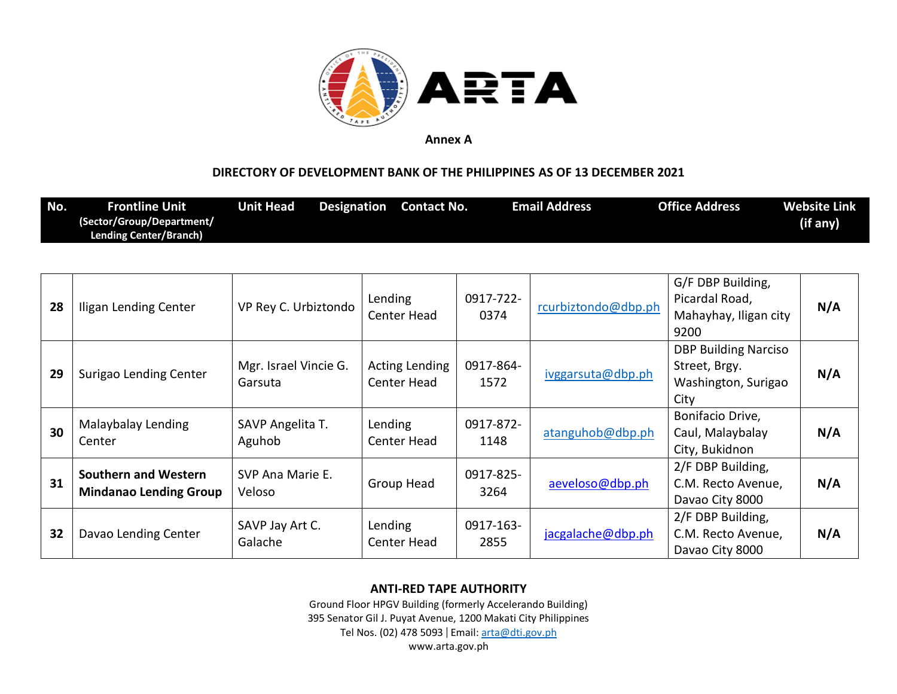

## **DIRECTORY OF DEVELOPMENT BANK OF THE PHILIPPINES AS OF 13 DECEMBER 2021**

| No. | Frontline Unit                | Unit Head | <b>Designation</b> Contact No. | <b>Email Address</b> | <b>Office Address</b> | Website Link |
|-----|-------------------------------|-----------|--------------------------------|----------------------|-----------------------|--------------|
|     | (Sector/Group/Department/     |           |                                |                      |                       | (if any)     |
|     | <b>Lending Center/Branch)</b> |           |                                |                      |                       |              |

| 28 | Iligan Lending Center                                        | VP Rey C. Urbiztondo             | Lending<br>Center Head               | 0917-722-<br>0374 | rcurbiztondo@dbp.ph | G/F DBP Building,<br>Picardal Road,<br>Mahayhay, Iligan city<br>9200        | N/A |
|----|--------------------------------------------------------------|----------------------------------|--------------------------------------|-------------------|---------------------|-----------------------------------------------------------------------------|-----|
| 29 | Surigao Lending Center                                       | Mgr. Israel Vincie G.<br>Garsuta | <b>Acting Lending</b><br>Center Head | 0917-864-<br>1572 | ivggarsuta@dbp.ph   | <b>DBP Building Narciso</b><br>Street, Brgy.<br>Washington, Surigao<br>City | N/A |
| 30 | Malaybalay Lending<br>Center                                 | SAVP Angelita T.<br>Aguhob       | Lending<br>Center Head               | 0917-872-<br>1148 | atanguhob@dbp.ph    | Bonifacio Drive,<br>Caul, Malaybalay<br>City, Bukidnon                      | N/A |
| 31 | <b>Southern and Western</b><br><b>Mindanao Lending Group</b> | SVP Ana Marie E.<br>Veloso       | Group Head                           | 0917-825-<br>3264 | aeveloso@dbp.ph     | 2/F DBP Building,<br>C.M. Recto Avenue,<br>Davao City 8000                  | N/A |
| 32 | Davao Lending Center                                         | SAVP Jay Art C.<br>Galache       | Lending<br>Center Head               | 0917-163-<br>2855 | jacgalache@dbp.ph   | 2/F DBP Building,<br>C.M. Recto Avenue,<br>Davao City 8000                  | N/A |

### **ANTI-RED TAPE AUTHORITY**

Ground Floor HPGV Building (formerly Accelerando Building) 395 Senator Gil J. Puyat Avenue, 1200 Makati City Philippines

Tel Nos. (02) 478 5093 | Email: [arta@dti.gov.ph](mailto:arta@dti.gov.ph)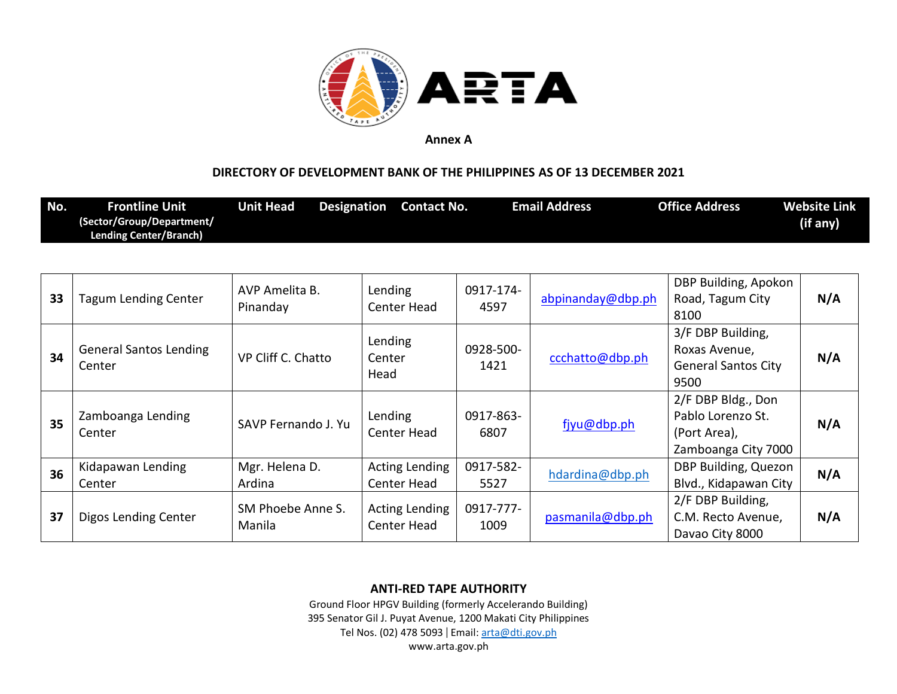

## **DIRECTORY OF DEVELOPMENT BANK OF THE PHILIPPINES AS OF 13 DECEMBER 2021**

| No. | <b>Frontline Unit</b>         | Unit Head | <b>Designation</b> Contact No. | <b>Email Address</b> | <b>Office Address</b> | <b>Website Link</b> |
|-----|-------------------------------|-----------|--------------------------------|----------------------|-----------------------|---------------------|
|     | (Sector/Group/Department/     |           |                                |                      |                       | (if any)            |
|     | <b>Lending Center/Branch)</b> |           |                                |                      |                       |                     |

| 33 | <b>Tagum Lending Center</b>             | AVP Amelita B.<br>Pinanday  | Lending<br>Center Head               | 0917-174-<br>4597 | abpinanday@dbp.ph | DBP Building, Apokon<br>Road, Tagum City<br>8100                               | N/A |
|----|-----------------------------------------|-----------------------------|--------------------------------------|-------------------|-------------------|--------------------------------------------------------------------------------|-----|
| 34 | <b>General Santos Lending</b><br>Center | VP Cliff C. Chatto          | Lending<br>Center<br>Head            | 0928-500-<br>1421 | ccchatto@dbp.ph   | 3/F DBP Building,<br>Roxas Avenue,<br><b>General Santos City</b><br>9500       | N/A |
| 35 | Zamboanga Lending<br>Center             | SAVP Fernando J. Yu         | Lending<br>Center Head               | 0917-863-<br>6807 | fjyu@dbp.ph       | 2/F DBP Bldg., Don<br>Pablo Lorenzo St.<br>(Port Area),<br>Zamboanga City 7000 | N/A |
| 36 | Kidapawan Lending<br>Center             | Mgr. Helena D.<br>Ardina    | <b>Acting Lending</b><br>Center Head | 0917-582-<br>5527 | hdardina@dbp.ph   | DBP Building, Quezon<br>Blvd., Kidapawan City                                  | N/A |
| 37 | Digos Lending Center                    | SM Phoebe Anne S.<br>Manila | Acting Lending<br>Center Head        | 0917-777-<br>1009 | pasmanila@dbp.ph  | 2/F DBP Building,<br>C.M. Recto Avenue,<br>Davao City 8000                     | N/A |

### **ANTI-RED TAPE AUTHORITY**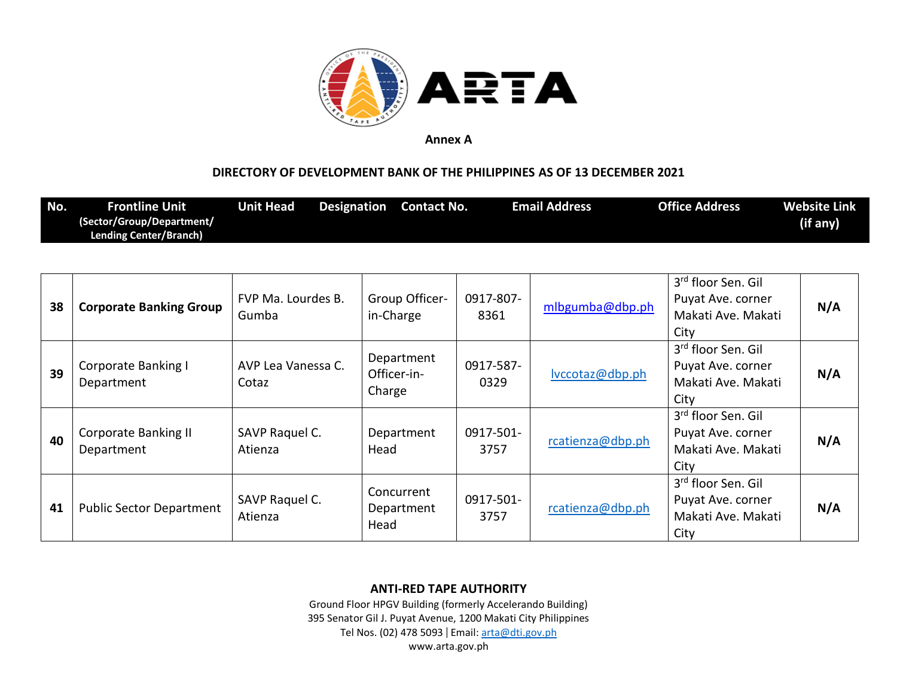

## **DIRECTORY OF DEVELOPMENT BANK OF THE PHILIPPINES AS OF 13 DECEMBER 2021**

| No. | Frontline Unit '              | Unit Head | <b>Designation</b> Contact No. | <b>Email Address</b> | <b>Office Address</b> | <b>Website Link</b> |
|-----|-------------------------------|-----------|--------------------------------|----------------------|-----------------------|---------------------|
|     | (Sector/Group/Department/     |           |                                |                      |                       | (if any)            |
|     | <b>Lending Center/Branch)</b> |           |                                |                      |                       |                     |

| 38 | <b>Corporate Banking Group</b>            | FVP Ma. Lourdes B.<br>Gumba | Group Officer-<br>in-Charge         | 0917-807-<br>8361 | mlbgumba@dbp.ph  | 3 <sup>rd</sup> floor Sen. Gil<br>Puyat Ave. corner<br>Makati Ave. Makati<br>City | N/A |
|----|-------------------------------------------|-----------------------------|-------------------------------------|-------------------|------------------|-----------------------------------------------------------------------------------|-----|
| 39 | <b>Corporate Banking I</b><br>Department  | AVP Lea Vanessa C.<br>Cotaz | Department<br>Officer-in-<br>Charge | 0917-587-<br>0329 | lvccotaz@dbp.ph  | 3rd floor Sen. Gil<br>Puyat Ave. corner<br>Makati Ave. Makati<br>City             | N/A |
| 40 | <b>Corporate Banking II</b><br>Department | SAVP Raquel C.<br>Atienza   | Department<br>Head                  | 0917-501-<br>3757 | rcatienza@dbp.ph | 3rd floor Sen. Gil<br>Puyat Ave. corner<br>Makati Ave. Makati<br>City             | N/A |
| 41 | <b>Public Sector Department</b>           | SAVP Raquel C.<br>Atienza   | Concurrent<br>Department<br>Head    | 0917-501-<br>3757 | rcatienza@dbp.ph | 3rd floor Sen. Gil<br>Puyat Ave. corner<br>Makati Ave. Makati<br>City             | N/A |

### **ANTI-RED TAPE AUTHORITY**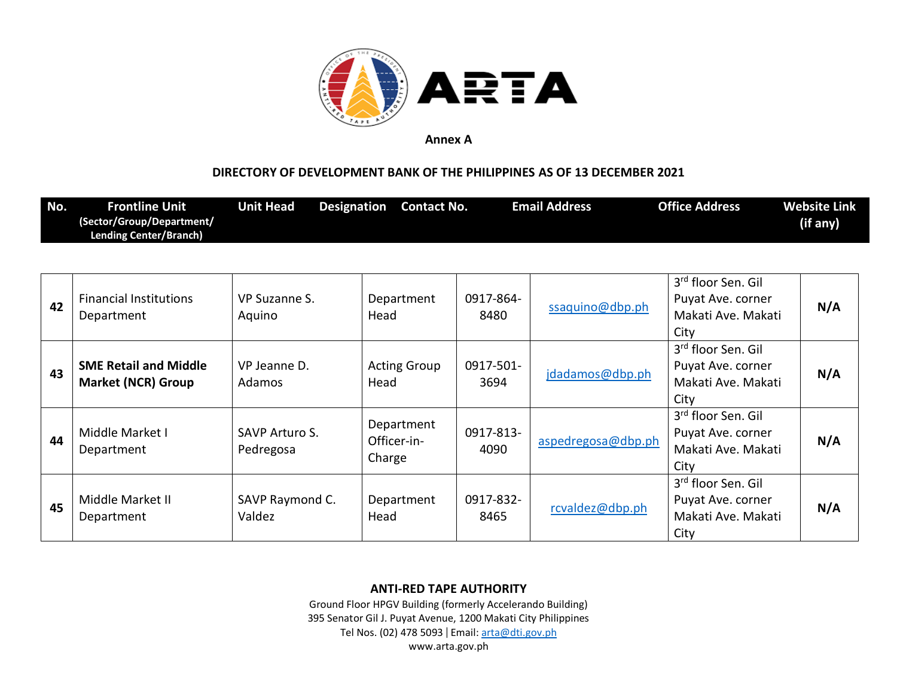

## **DIRECTORY OF DEVELOPMENT BANK OF THE PHILIPPINES AS OF 13 DECEMBER 2021**

| No. | <b>Frontline Unit</b>         | Unit Head | Designation | <b>Contact No.</b> | Email Address | <b>Office Address</b> | Website Link |
|-----|-------------------------------|-----------|-------------|--------------------|---------------|-----------------------|--------------|
|     | (Sector/Group/Department/     |           |             |                    |               |                       | (if any)     |
|     | <b>Lending Center/Branch)</b> |           |             |                    |               |                       |              |

| 42 | <b>Financial Institutions</b><br>Department               | VP Suzanne S.<br>Aquino     | Department<br>Head                  | 0917-864-<br>8480 | ssaquino@dbp.ph    | 3 <sup>rd</sup> floor Sen. Gil<br>Puyat Ave. corner<br>Makati Ave. Makati<br>City | N/A |
|----|-----------------------------------------------------------|-----------------------------|-------------------------------------|-------------------|--------------------|-----------------------------------------------------------------------------------|-----|
| 43 | <b>SME Retail and Middle</b><br><b>Market (NCR) Group</b> | VP Jeanne D.<br>Adamos      | <b>Acting Group</b><br>Head         | 0917-501-<br>3694 | jdadamos@dbp.ph    | 3rd floor Sen. Gil<br>Puyat Ave. corner<br>Makati Ave. Makati<br>City             | N/A |
| 44 | Middle Market I<br>Department                             | SAVP Arturo S.<br>Pedregosa | Department<br>Officer-in-<br>Charge | 0917-813-<br>4090 | aspedregosa@dbp.ph | 3rd floor Sen. Gil<br>Puyat Ave. corner<br>Makati Ave. Makati<br>City             | N/A |
| 45 | Middle Market II<br>Department                            | SAVP Raymond C.<br>Valdez   | Department<br>Head                  | 0917-832-<br>8465 | rcvaldez@dbp.ph    | 3 <sup>rd</sup> floor Sen. Gil<br>Puyat Ave. corner<br>Makati Ave. Makati<br>City | N/A |

### **ANTI-RED TAPE AUTHORITY**